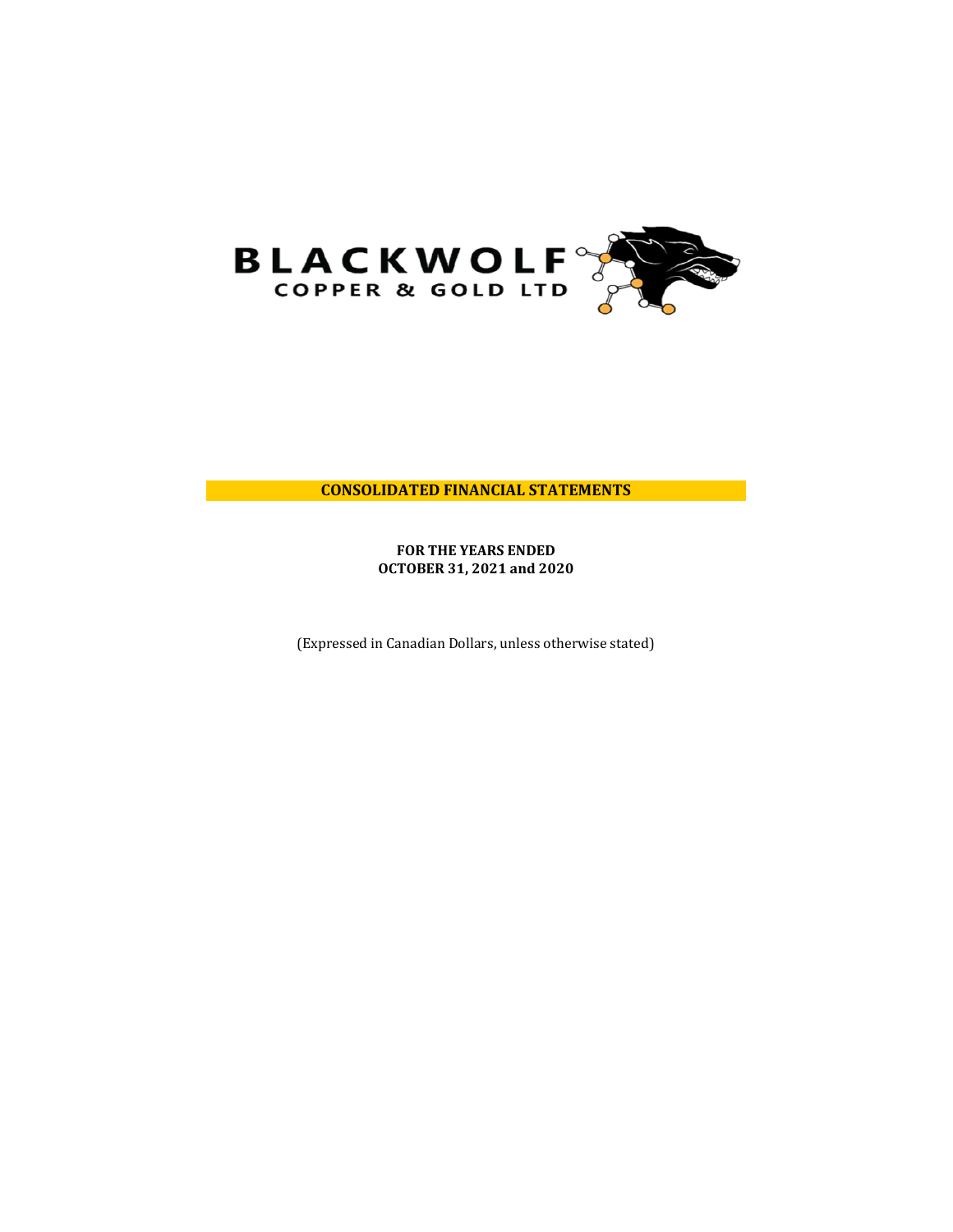

### **CONSOLIDATED FINANCIAL STATEMENTS**

**FOR THE YEARS ENDED OCTOBER 31, 2021 and 2020**

(Expressed in Canadian Dollars, unless otherwise stated)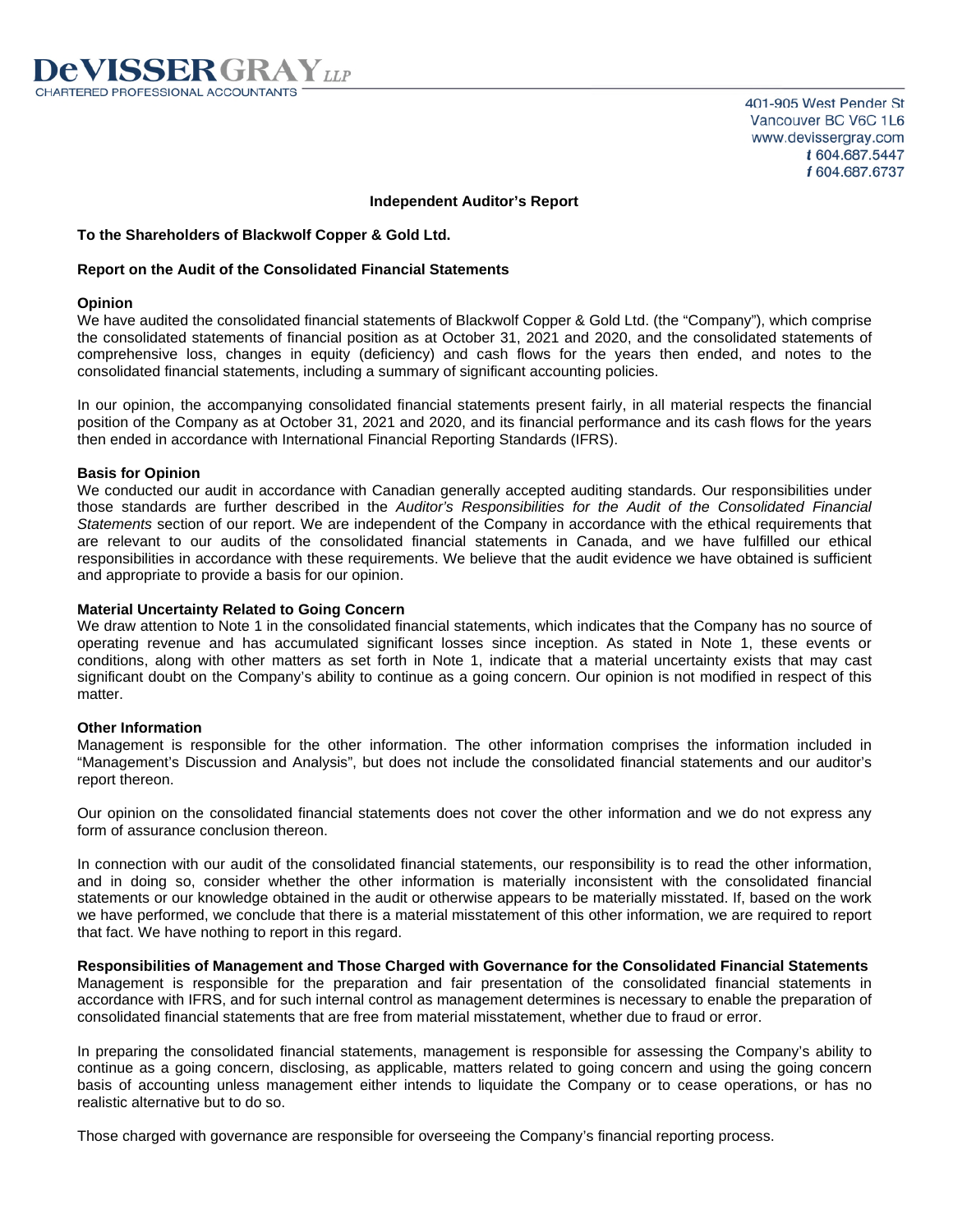401-905 West Pender St Vancouver BC V6C 1L6 www.devissergray.com t 604.687.5447 f 604.687.6737

### **Independent Auditor's Report**

### **To the Shareholders of Blackwolf Copper & Gold Ltd.**

#### **Report on the Audit of the Consolidated Financial Statements**

#### **Opinion**

We have audited the consolidated financial statements of Blackwolf Copper & Gold Ltd. (the "Company"), which comprise the consolidated statements of financial position as at October 31, 2021 and 2020, and the consolidated statements of comprehensive loss, changes in equity (deficiency) and cash flows for the years then ended, and notes to the consolidated financial statements, including a summary of significant accounting policies.

In our opinion, the accompanying consolidated financial statements present fairly, in all material respects the financial position of the Company as at October 31, 2021 and 2020, and its financial performance and its cash flows for the years then ended in accordance with International Financial Reporting Standards (IFRS).

### **Basis for Opinion**

We conducted our audit in accordance with Canadian generally accepted auditing standards. Our responsibilities under those standards are further described in the *Auditor's Responsibilities for the Audit of the Consolidated Financial Statements* section of our report. We are independent of the Company in accordance with the ethical requirements that are relevant to our audits of the consolidated financial statements in Canada, and we have fulfilled our ethical responsibilities in accordance with these requirements. We believe that the audit evidence we have obtained is sufficient and appropriate to provide a basis for our opinion.

### **Material Uncertainty Related to Going Concern**

We draw attention to Note 1 in the consolidated financial statements, which indicates that the Company has no source of operating revenue and has accumulated significant losses since inception. As stated in Note 1, these events or conditions, along with other matters as set forth in Note 1, indicate that a material uncertainty exists that may cast significant doubt on the Company's ability to continue as a going concern. Our opinion is not modified in respect of this matter.

#### **Other Information**

Management is responsible for the other information. The other information comprises the information included in "Management's Discussion and Analysis", but does not include the consolidated financial statements and our auditor's report thereon.

Our opinion on the consolidated financial statements does not cover the other information and we do not express any form of assurance conclusion thereon.

In connection with our audit of the consolidated financial statements, our responsibility is to read the other information, and in doing so, consider whether the other information is materially inconsistent with the consolidated financial statements or our knowledge obtained in the audit or otherwise appears to be materially misstated. If, based on the work we have performed, we conclude that there is a material misstatement of this other information, we are required to report that fact. We have nothing to report in this regard.

**Responsibilities of Management and Those Charged with Governance for the Consolidated Financial Statements**  Management is responsible for the preparation and fair presentation of the consolidated financial statements in accordance with IFRS, and for such internal control as management determines is necessary to enable the preparation of consolidated financial statements that are free from material misstatement, whether due to fraud or error.

In preparing the consolidated financial statements, management is responsible for assessing the Company's ability to continue as a going concern, disclosing, as applicable, matters related to going concern and using the going concern basis of accounting unless management either intends to liquidate the Company or to cease operations, or has no realistic alternative but to do so.

Those charged with governance are responsible for overseeing the Company's financial reporting process.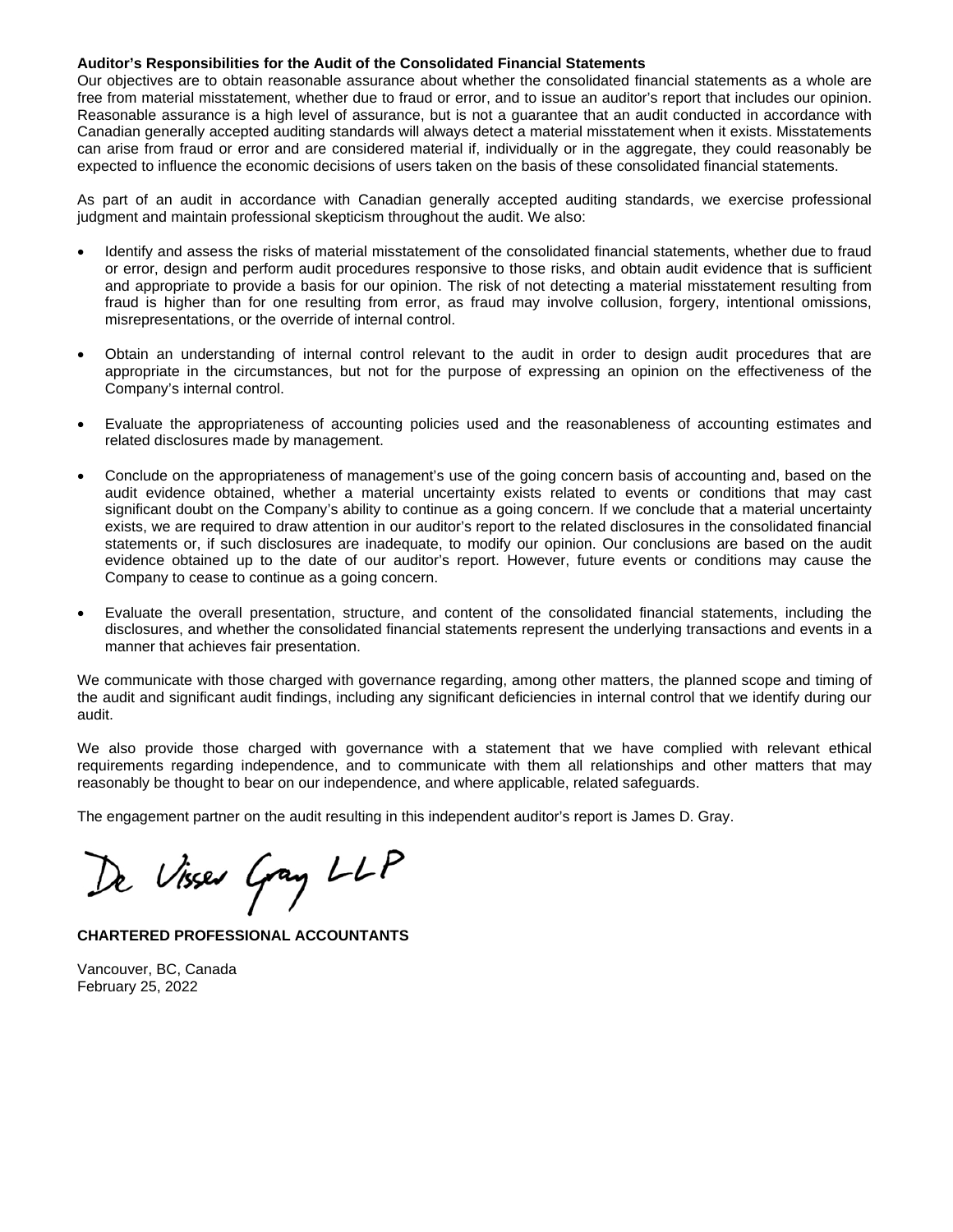#### **Auditor's Responsibilities for the Audit of the Consolidated Financial Statements**

Our objectives are to obtain reasonable assurance about whether the consolidated financial statements as a whole are free from material misstatement, whether due to fraud or error, and to issue an auditor's report that includes our opinion. Reasonable assurance is a high level of assurance, but is not a guarantee that an audit conducted in accordance with Canadian generally accepted auditing standards will always detect a material misstatement when it exists. Misstatements can arise from fraud or error and are considered material if, individually or in the aggregate, they could reasonably be expected to influence the economic decisions of users taken on the basis of these consolidated financial statements.

As part of an audit in accordance with Canadian generally accepted auditing standards, we exercise professional judgment and maintain professional skepticism throughout the audit. We also:

- Identify and assess the risks of material misstatement of the consolidated financial statements, whether due to fraud or error, design and perform audit procedures responsive to those risks, and obtain audit evidence that is sufficient and appropriate to provide a basis for our opinion. The risk of not detecting a material misstatement resulting from fraud is higher than for one resulting from error, as fraud may involve collusion, forgery, intentional omissions, misrepresentations, or the override of internal control.
- Obtain an understanding of internal control relevant to the audit in order to design audit procedures that are appropriate in the circumstances, but not for the purpose of expressing an opinion on the effectiveness of the Company's internal control.
- Evaluate the appropriateness of accounting policies used and the reasonableness of accounting estimates and related disclosures made by management.
- Conclude on the appropriateness of management's use of the going concern basis of accounting and, based on the audit evidence obtained, whether a material uncertainty exists related to events or conditions that may cast significant doubt on the Company's ability to continue as a going concern. If we conclude that a material uncertainty exists, we are required to draw attention in our auditor's report to the related disclosures in the consolidated financial statements or, if such disclosures are inadequate, to modify our opinion. Our conclusions are based on the audit evidence obtained up to the date of our auditor's report. However, future events or conditions may cause the Company to cease to continue as a going concern.
- Evaluate the overall presentation, structure, and content of the consolidated financial statements, including the disclosures, and whether the consolidated financial statements represent the underlying transactions and events in a manner that achieves fair presentation.

We communicate with those charged with governance regarding, among other matters, the planned scope and timing of the audit and significant audit findings, including any significant deficiencies in internal control that we identify during our audit.

We also provide those charged with governance with a statement that we have complied with relevant ethical requirements regarding independence, and to communicate with them all relationships and other matters that may reasonably be thought to bear on our independence, and where applicable, related safeguards.

The engagement partner on the audit resulting in this independent auditor's report is James D. Gray.

De Visser Gray LLP

**CHARTERED PROFESSIONAL ACCOUNTANTS** 

Vancouver, BC, Canada February 25, 2022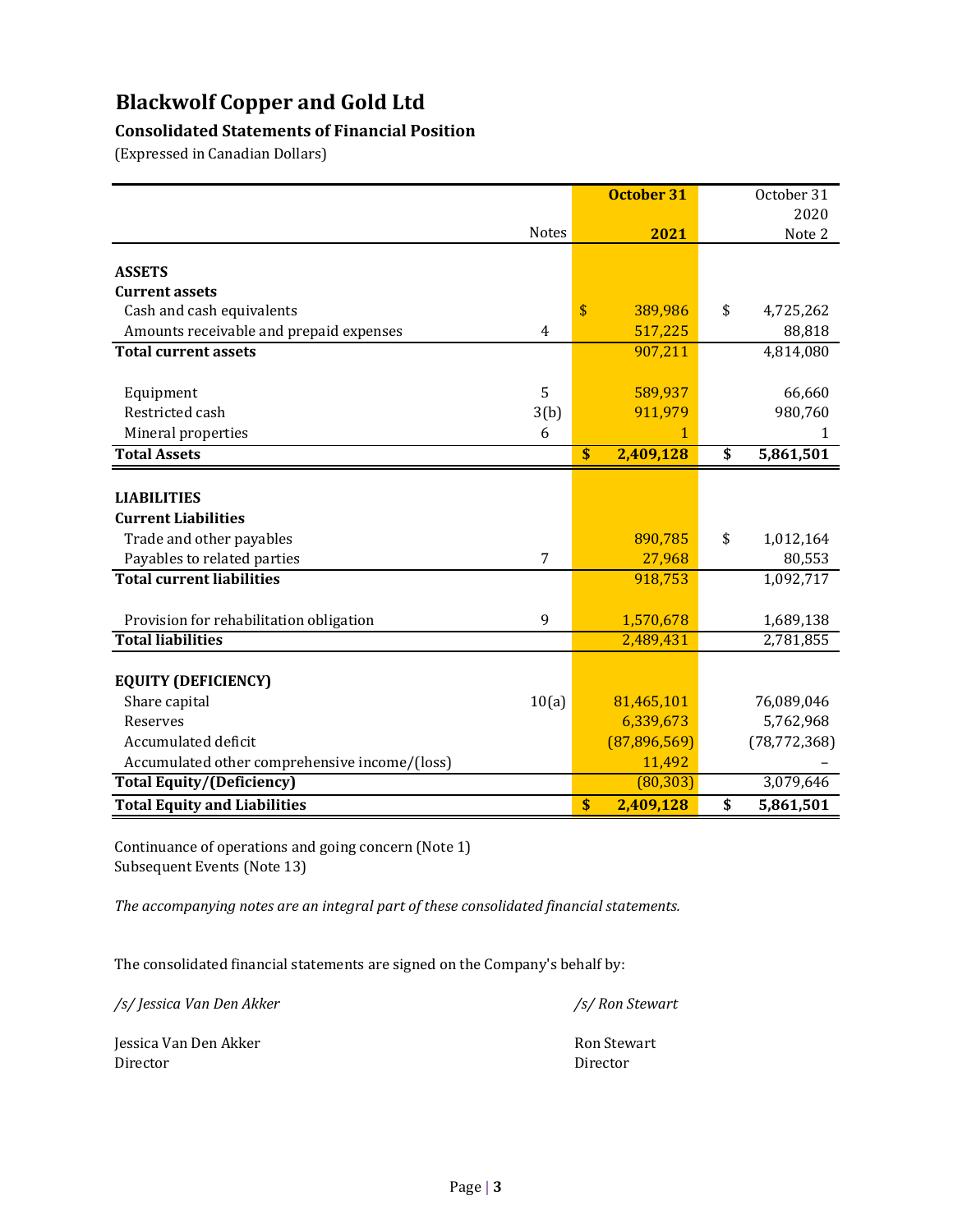### **Consolidated Statements of Financial Position**

(Expressed in Canadian Dollars)

|                                               |              | <b>October 31</b>                      | October 31      |
|-----------------------------------------------|--------------|----------------------------------------|-----------------|
|                                               |              |                                        | 2020            |
|                                               | <b>Notes</b> | 2021                                   | Note 2          |
| <b>ASSETS</b>                                 |              |                                        |                 |
| <b>Current assets</b>                         |              |                                        |                 |
| Cash and cash equivalents                     |              | \$<br>389,986                          | \$<br>4,725,262 |
| Amounts receivable and prepaid expenses       | 4            | 517,225                                | 88,818          |
| <b>Total current assets</b>                   |              | 907,211                                | 4,814,080       |
| Equipment                                     | 5            | 589,937                                | 66,660          |
| Restricted cash                               | 3(b)         | 911,979                                | 980,760         |
| Mineral properties                            | 6            | 1                                      | $\mathbf{1}$    |
| <b>Total Assets</b>                           |              | $\boldsymbol{\mathsf{s}}$<br>2,409,128 | \$<br>5,861,501 |
| <b>LIABILITIES</b>                            |              |                                        |                 |
| <b>Current Liabilities</b>                    |              |                                        |                 |
| Trade and other payables                      |              | 890,785                                | \$<br>1,012,164 |
| Payables to related parties                   | 7            | 27,968                                 | 80,553          |
| <b>Total current liabilities</b>              |              | 918,753                                | 1,092,717       |
| Provision for rehabilitation obligation       | 9            | 1,570,678                              | 1,689,138       |
| <b>Total liabilities</b>                      |              | 2,489,431                              | 2,781,855       |
|                                               |              |                                        |                 |
| <b>EQUITY (DEFICIENCY)</b>                    |              |                                        |                 |
| Share capital                                 | 10(a)        | 81,465,101                             | 76,089,046      |
| Reserves                                      |              | 6,339,673                              | 5,762,968       |
| Accumulated deficit                           |              | (87,896,569)                           | (78, 772, 368)  |
| Accumulated other comprehensive income/(loss) |              | 11,492                                 |                 |
| <b>Total Equity/(Deficiency)</b>              |              | (80, 303)                              | 3,079,646       |
| <b>Total Equity and Liabilities</b>           |              | \$<br>2,409,128                        | \$<br>5,861,501 |

Continuance of operations and going concern (Note 1) Subsequent Events (Note 13)

*The accompanying notes are an integral part of these consolidated financial statements.*

The consolidated financial statements are signed on the Company's behalf by:

*/s/ Jessica Van Den Akker /s/ Ron Stewart*

Jessica Van Den Akker Ron Stewart Ron Stewart Director Ron Stewart Ron Stewart Ron Stewart Ron Stewart Ron Stewart Ron Stewart Ron Stewart Ron Stewart Ron Stewart Ron Stewart Ron Stewart Ron Stewart Ron Stewart Ron Stewart Director Director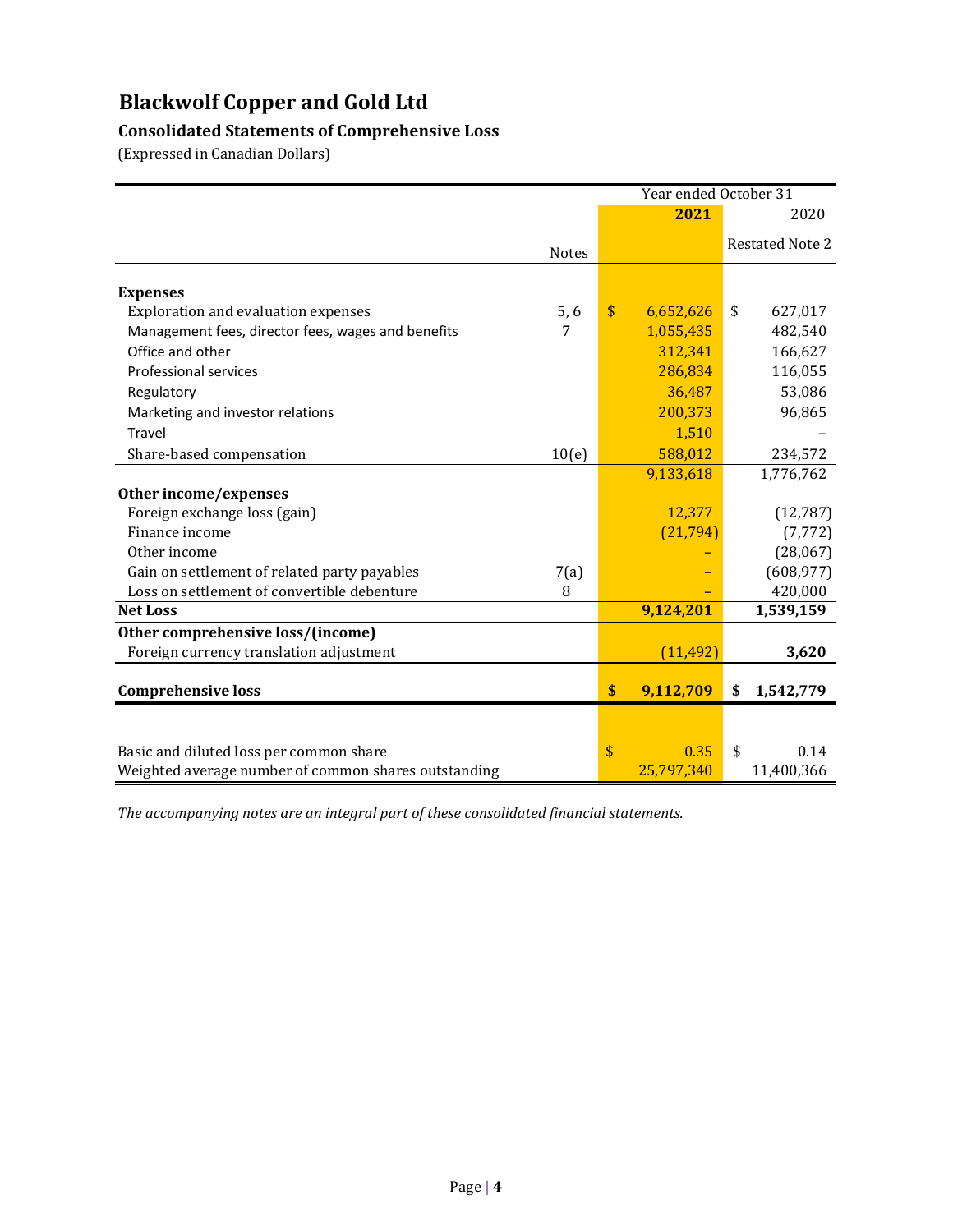### **Consolidated Statements of Comprehensive Loss**

(Expressed in Canadian Dollars)

|                                                      |              | Year ended October 31     |            |                        |          |  |
|------------------------------------------------------|--------------|---------------------------|------------|------------------------|----------|--|
|                                                      |              |                           | 2021       |                        | 2020     |  |
|                                                      | <b>Notes</b> |                           |            | <b>Restated Note 2</b> |          |  |
|                                                      |              |                           |            |                        |          |  |
| <b>Expenses</b>                                      |              |                           |            |                        |          |  |
| Exploration and evaluation expenses                  | 5,6          | \$                        | 6,652,626  | \$<br>627,017          |          |  |
| Management fees, director fees, wages and benefits   | 7            |                           | 1,055,435  | 482,540                |          |  |
| Office and other                                     |              |                           | 312,341    | 166,627                |          |  |
| <b>Professional services</b>                         |              |                           | 286,834    | 116,055                |          |  |
| Regulatory                                           |              |                           | 36,487     | 53,086                 |          |  |
| Marketing and investor relations                     |              |                           | 200,373    | 96,865                 |          |  |
| Travel                                               |              |                           | 1,510      |                        |          |  |
| Share-based compensation                             | 10(e)        |                           | 588,012    | 234,572                |          |  |
|                                                      |              |                           | 9,133,618  | 1,776,762              |          |  |
| Other income/expenses                                |              |                           |            |                        |          |  |
| Foreign exchange loss (gain)                         |              |                           | 12,377     | (12,787)               |          |  |
| Finance income                                       |              |                           | (21, 794)  |                        | (7, 772) |  |
| Other income                                         |              |                           |            | (28,067)               |          |  |
| Gain on settlement of related party payables         | 7(a)         |                           |            | (608, 977)             |          |  |
| Loss on settlement of convertible debenture          | 8            |                           |            | 420,000                |          |  |
| <b>Net Loss</b>                                      |              |                           | 9,124,201  | 1,539,159              |          |  |
| Other comprehensive loss/(income)                    |              |                           |            |                        |          |  |
| Foreign currency translation adjustment              |              |                           | (11, 492)  |                        | 3,620    |  |
|                                                      |              | $\boldsymbol{\mathsf{s}}$ |            |                        |          |  |
| <b>Comprehensive loss</b>                            |              |                           | 9,112,709  | \$<br>1,542,779        |          |  |
|                                                      |              |                           |            |                        |          |  |
| Basic and diluted loss per common share              |              | \$                        | 0.35       | \$                     | 0.14     |  |
| Weighted average number of common shares outstanding |              |                           | 25,797,340 | 11,400,366             |          |  |

*The accompanying notes are an integral part of these consolidated financial statements.*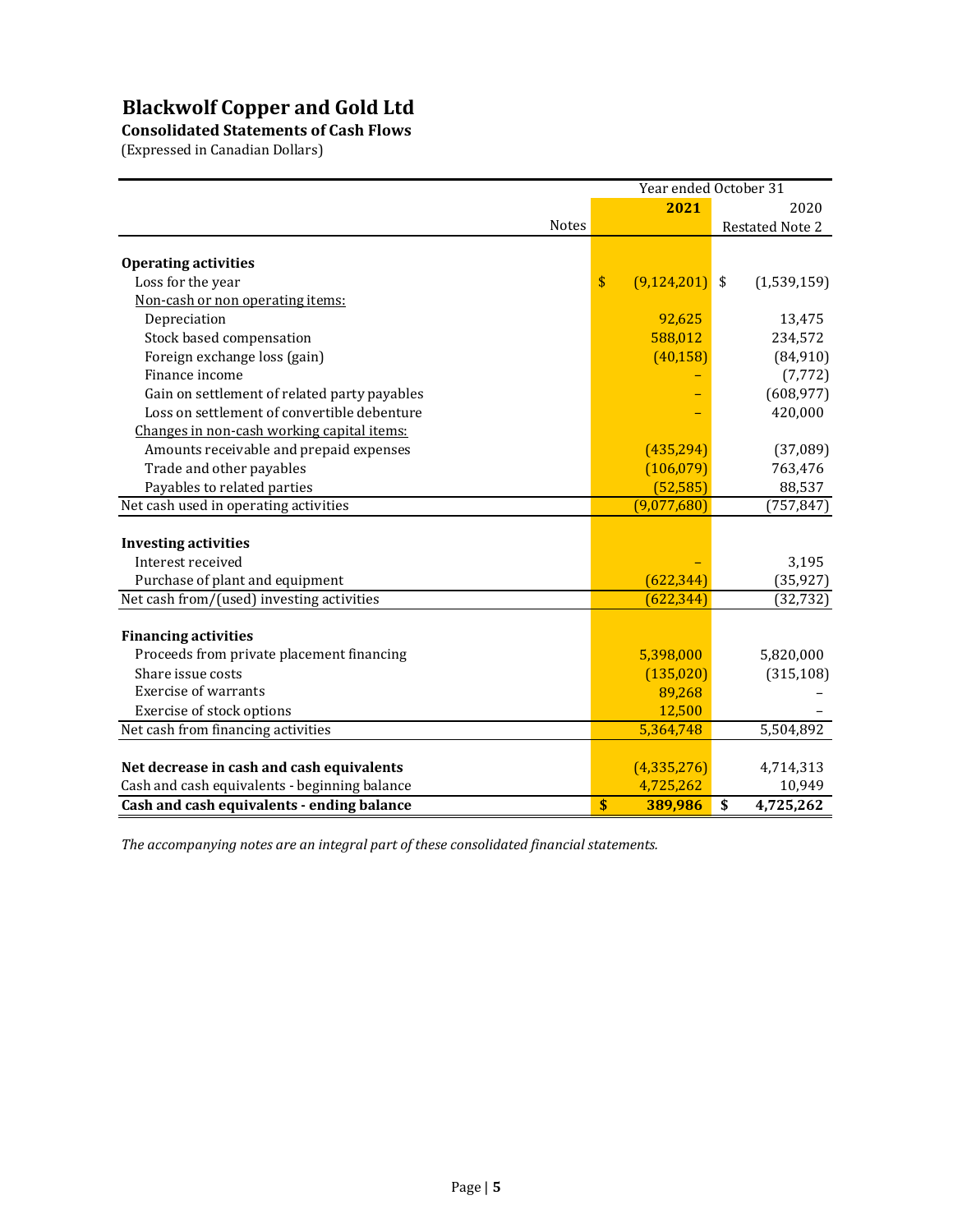## **Consolidated Statements of Cash Flows**

(Expressed in Canadian Dollars)

|                                               | Year ended October 31 |                          |    |                     |  |  |
|-----------------------------------------------|-----------------------|--------------------------|----|---------------------|--|--|
|                                               |                       | 2021                     |    | 2020                |  |  |
| <b>Notes</b>                                  |                       |                          |    | Restated Note 2     |  |  |
|                                               |                       |                          |    |                     |  |  |
| <b>Operating activities</b>                   |                       |                          |    |                     |  |  |
| Loss for the year                             | \$                    | $(9, 124, 201)$ \$       |    | (1,539,159)         |  |  |
| Non-cash or non operating items:              |                       |                          |    |                     |  |  |
| Depreciation                                  |                       | 92,625                   |    | 13,475              |  |  |
| Stock based compensation                      |                       | 588,012                  |    | 234,572             |  |  |
| Foreign exchange loss (gain)                  |                       | (40, 158)                |    | (84, 910)           |  |  |
| Finance income                                |                       |                          |    | (7, 772)            |  |  |
| Gain on settlement of related party payables  |                       |                          |    | (608, 977)          |  |  |
| Loss on settlement of convertible debenture   |                       |                          |    | 420,000             |  |  |
| Changes in non-cash working capital items:    |                       |                          |    |                     |  |  |
| Amounts receivable and prepaid expenses       |                       | (435, 294)               |    | (37,089)            |  |  |
| Trade and other payables                      |                       | (106, 079)               |    | 763,476             |  |  |
| Payables to related parties                   |                       | (52, 585)                |    | 88,537              |  |  |
| Net cash used in operating activities         |                       | (9,077,680)              |    | (757, 847)          |  |  |
|                                               |                       |                          |    |                     |  |  |
| <b>Investing activities</b>                   |                       |                          |    |                     |  |  |
| Interest received                             |                       |                          |    | 3,195               |  |  |
| Purchase of plant and equipment               |                       | (622, 344)               |    | (35, 927)           |  |  |
| Net cash from/(used) investing activities     |                       | (622, 344)               |    | (32, 732)           |  |  |
|                                               |                       |                          |    |                     |  |  |
| <b>Financing activities</b>                   |                       |                          |    |                     |  |  |
| Proceeds from private placement financing     |                       | 5,398,000                |    | 5,820,000           |  |  |
| Share issue costs                             |                       | (135,020)                |    | (315, 108)          |  |  |
| <b>Exercise of warrants</b>                   |                       | 89,268                   |    |                     |  |  |
| Exercise of stock options                     |                       | 12,500                   |    |                     |  |  |
| Net cash from financing activities            |                       | 5,364,748                |    | 5,504,892           |  |  |
| Net decrease in cash and cash equivalents     |                       |                          |    |                     |  |  |
| Cash and cash equivalents - beginning balance |                       | (4,335,276)<br>4,725,262 |    | 4,714,313<br>10,949 |  |  |
| Cash and cash equivalents - ending balance    | \$                    | 389,986                  | \$ | 4,725,262           |  |  |
|                                               |                       |                          |    |                     |  |  |

*The accompanying notes are an integral part of these consolidated financial statements.*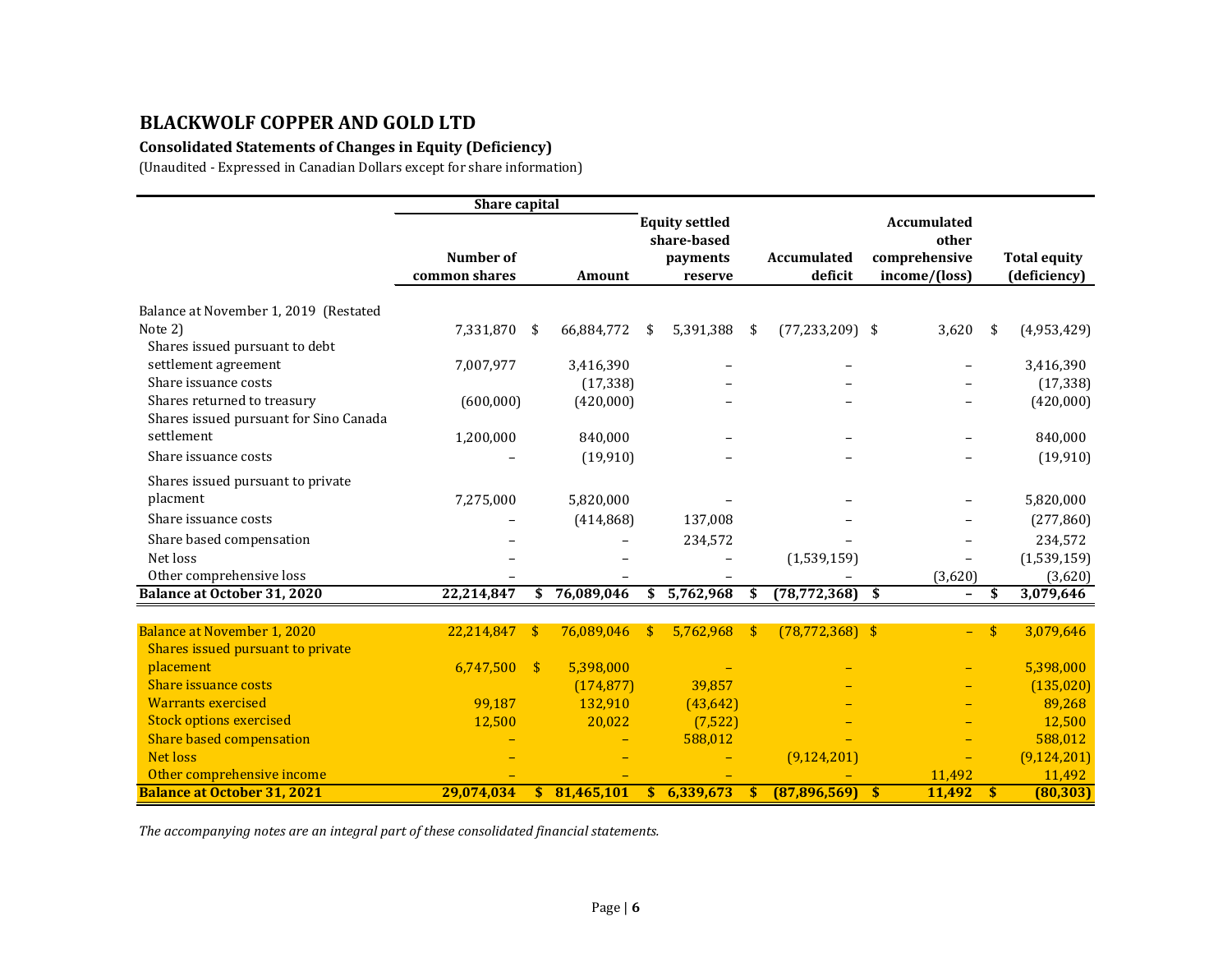# **BLACKWOLF COPPER AND GOLD LTD**

### **Consolidated Statements of Changes in Equity (Deficiency)**

(Unaudited - Expressed in Canadian Dollars except for share information)

|                                        | <b>Share capital</b> |               |               |               |                                      |               |                          |               |                             |                     |               |
|----------------------------------------|----------------------|---------------|---------------|---------------|--------------------------------------|---------------|--------------------------|---------------|-----------------------------|---------------------|---------------|
|                                        |                      |               |               |               | <b>Equity settled</b><br>share-based |               |                          |               | <b>Accumulated</b><br>other |                     |               |
|                                        | <b>Number of</b>     |               |               |               | payments                             |               | Accumulated              | comprehensive |                             | <b>Total equity</b> |               |
|                                        | common shares        |               | <b>Amount</b> |               | reserve                              |               | deficit<br>income/(loss) |               |                             |                     | (deficiency)  |
| Balance at November 1, 2019 (Restated  |                      |               |               |               |                                      |               |                          |               |                             |                     |               |
| Note 2)                                | 7,331,870            | \$            | 66,884,772    | \$            | 5,391,388                            | \$            | $(77, 233, 209)$ \$      |               | 3,620                       | \$                  | (4,953,429)   |
| Shares issued pursuant to debt         |                      |               |               |               |                                      |               |                          |               |                             |                     |               |
| settlement agreement                   | 7,007,977            |               | 3,416,390     |               |                                      |               |                          |               |                             |                     | 3,416,390     |
| Share issuance costs                   |                      |               | (17, 338)     |               |                                      |               |                          |               |                             |                     | (17, 338)     |
| Shares returned to treasury            | (600,000)            |               | (420,000)     |               |                                      |               |                          |               |                             |                     | (420,000)     |
| Shares issued pursuant for Sino Canada |                      |               |               |               |                                      |               |                          |               |                             |                     |               |
| settlement                             | 1,200,000            |               | 840,000       |               |                                      |               |                          |               |                             |                     | 840,000       |
| Share issuance costs                   |                      |               | (19, 910)     |               |                                      |               |                          |               |                             |                     | (19, 910)     |
| Shares issued pursuant to private      |                      |               |               |               |                                      |               |                          |               |                             |                     |               |
| placment                               | 7,275,000            |               | 5,820,000     |               |                                      |               |                          |               |                             |                     | 5,820,000     |
| Share issuance costs                   |                      |               | (414, 868)    |               | 137,008                              |               |                          |               |                             |                     | (277, 860)    |
| Share based compensation               |                      |               |               |               | 234,572                              |               |                          |               |                             |                     | 234,572       |
| Net loss                               |                      |               |               |               |                                      |               | (1,539,159)              |               |                             |                     | (1,539,159)   |
| Other comprehensive loss               |                      |               |               |               |                                      |               |                          |               | (3,620)                     |                     | (3,620)       |
| <b>Balance at October 31, 2020</b>     | 22,214,847           | \$            | 76,089,046    | \$            | 5,762,968                            | S             | (78, 772, 368)           | $\sqrt{5}$    | $\overline{\phantom{0}}$    | \$                  | 3,079,646     |
|                                        |                      |               |               |               |                                      |               |                          |               |                             |                     |               |
| <b>Balance at November 1, 2020</b>     | 22,214,847           | \$            | 76,089,046    | \$.           | 5,762,968                            | \$            | $(78, 772, 368)$ \$      |               | $\equiv$ .                  | $\mathbf{\hat{S}}$  | 3,079,646     |
| Shares issued pursuant to private      |                      |               |               |               |                                      |               |                          |               |                             |                     |               |
| placement                              | 6,747,500            | $\sqrt[6]{3}$ | 5,398,000     |               |                                      |               |                          |               |                             |                     | 5,398,000     |
| Share issuance costs                   |                      |               | (174, 877)    |               | 39,857                               |               |                          |               |                             |                     | (135,020)     |
| <b>Warrants exercised</b>              | 99,187               |               | 132,910       |               | (43, 642)                            |               |                          |               |                             |                     | 89,268        |
| <b>Stock options exercised</b>         | 12,500               |               | 20,022        |               | (7,522)                              |               |                          |               |                             |                     | 12,500        |
| <b>Share based compensation</b>        |                      |               |               |               | 588,012                              |               |                          |               |                             |                     | 588,012       |
| <b>Net loss</b>                        |                      |               |               |               |                                      |               | (9, 124, 201)            |               |                             |                     | (9, 124, 201) |
| Other comprehensive income             |                      |               |               |               |                                      |               |                          |               | 11,492                      |                     | 11,492        |
| <b>Balance at October 31, 2021</b>     | 29,074,034           | \$            | 81,465,101    | $\mathbf{\$}$ | 6,339,673                            | <sup>\$</sup> | (87,896,569)             | $\mathbf{s}$  | 11,492                      | $\sqrt{5}$          | (80, 303)     |

*The accompanying notes are an integral part of these consolidated financial statements.*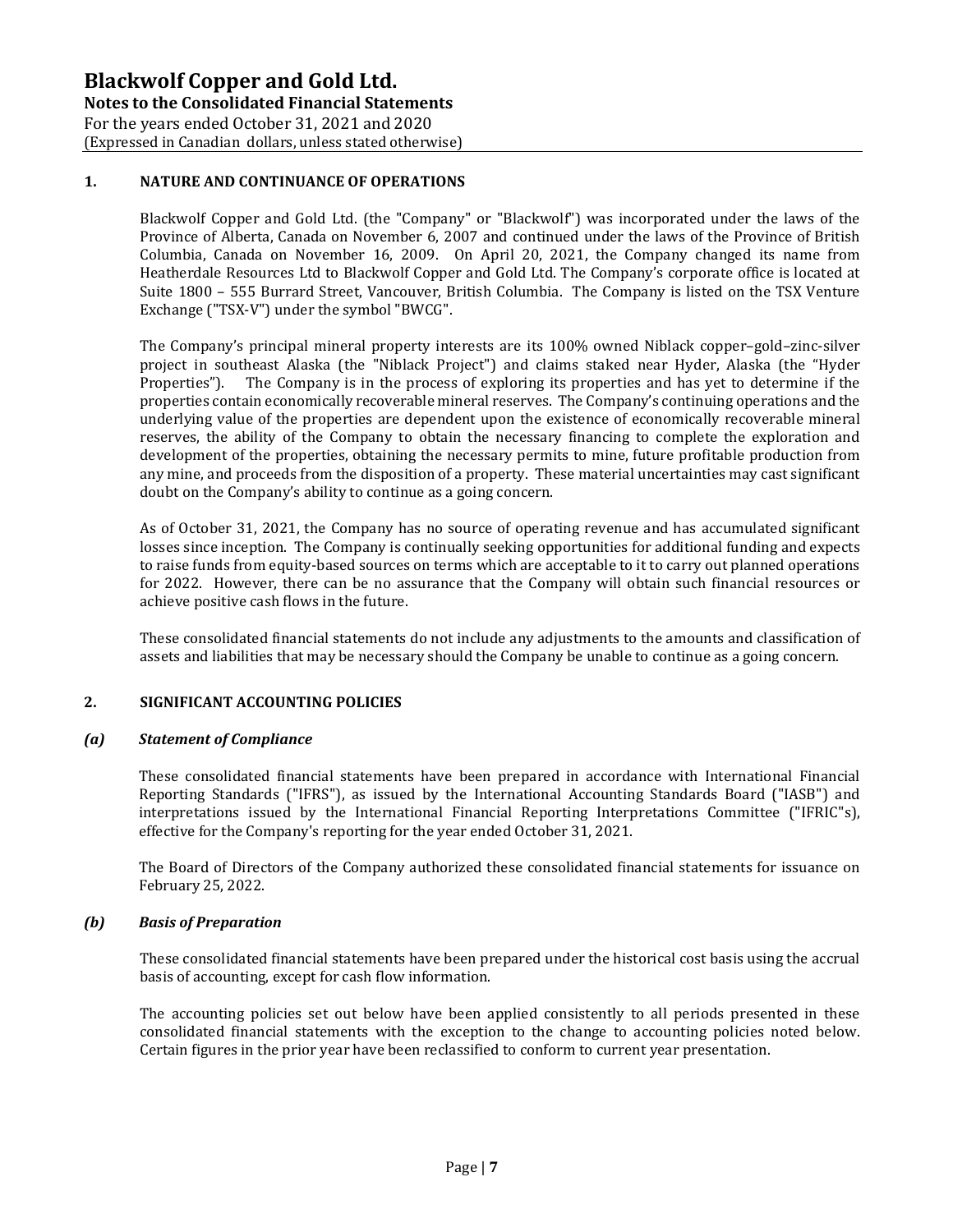**Notes to the Consolidated Financial Statements**

For the years ended October 31, 2021 and 2020 (Expressed in Canadian dollars, unless stated otherwise)

### **1. NATURE AND CONTINUANCE OF OPERATIONS**

Blackwolf Copper and Gold Ltd. (the "Company" or "Blackwolf") was incorporated under the laws of the Province of Alberta, Canada on November 6, 2007 and continued under the laws of the Province of British Columbia, Canada on November 16, 2009. On April 20, 2021, the Company changed its name from Heatherdale Resources Ltd to Blackwolf Copper and Gold Ltd. The Company's corporate office is located at Suite 1800 – 555 Burrard Street, Vancouver, British Columbia. The Company is listed on the TSX Venture Exchange ("TSX-V") under the symbol "BWCG".

The Company's principal mineral property interests are its 100% owned Niblack copper–gold–zinc-silver project in southeast Alaska (the "Niblack Project") and claims staked near Hyder, Alaska (the "Hyder<br>Properties"). The Company is in the process of exploring its properties and has vet to determine if the The Company is in the process of exploring its properties and has yet to determine if the properties contain economically recoverable mineral reserves. The Company's continuing operations and the underlying value of the properties are dependent upon the existence of economically recoverable mineral reserves, the ability of the Company to obtain the necessary financing to complete the exploration and development of the properties, obtaining the necessary permits to mine, future profitable production from any mine, and proceeds from the disposition of a property. These material uncertainties may cast significant doubt on the Company's ability to continue as a going concern.

As of October 31, 2021, the Company has no source of operating revenue and has accumulated significant losses since inception. The Company is continually seeking opportunities for additional funding and expects to raise funds from equity-based sources on terms which are acceptable to it to carry out planned operations for 2022. However, there can be no assurance that the Company will obtain such financial resources or achieve positive cash flows in the future.

These consolidated financial statements do not include any adjustments to the amounts and classification of assets and liabilities that may be necessary should the Company be unable to continue as a going concern.

### **2. SIGNIFICANT ACCOUNTING POLICIES**

### *(a) Statement of Compliance*

These consolidated financial statements have been prepared in accordance with International Financial Reporting Standards ("IFRS"), as issued by the International Accounting Standards Board ("IASB") and interpretations issued by the International Financial Reporting Interpretations Committee ("IFRIC"s), effective for the Company's reporting for the year ended October 31, 2021.

The Board of Directors of the Company authorized these consolidated financial statements for issuance on February 25, 2022.

### *(b) Basis of Preparation*

These consolidated financial statements have been prepared under the historical cost basis using the accrual basis of accounting, except for cash flow information.

The accounting policies set out below have been applied consistently to all periods presented in these consolidated financial statements with the exception to the change to accounting policies noted below. Certain figures in the prior year have been reclassified to conform to current year presentation.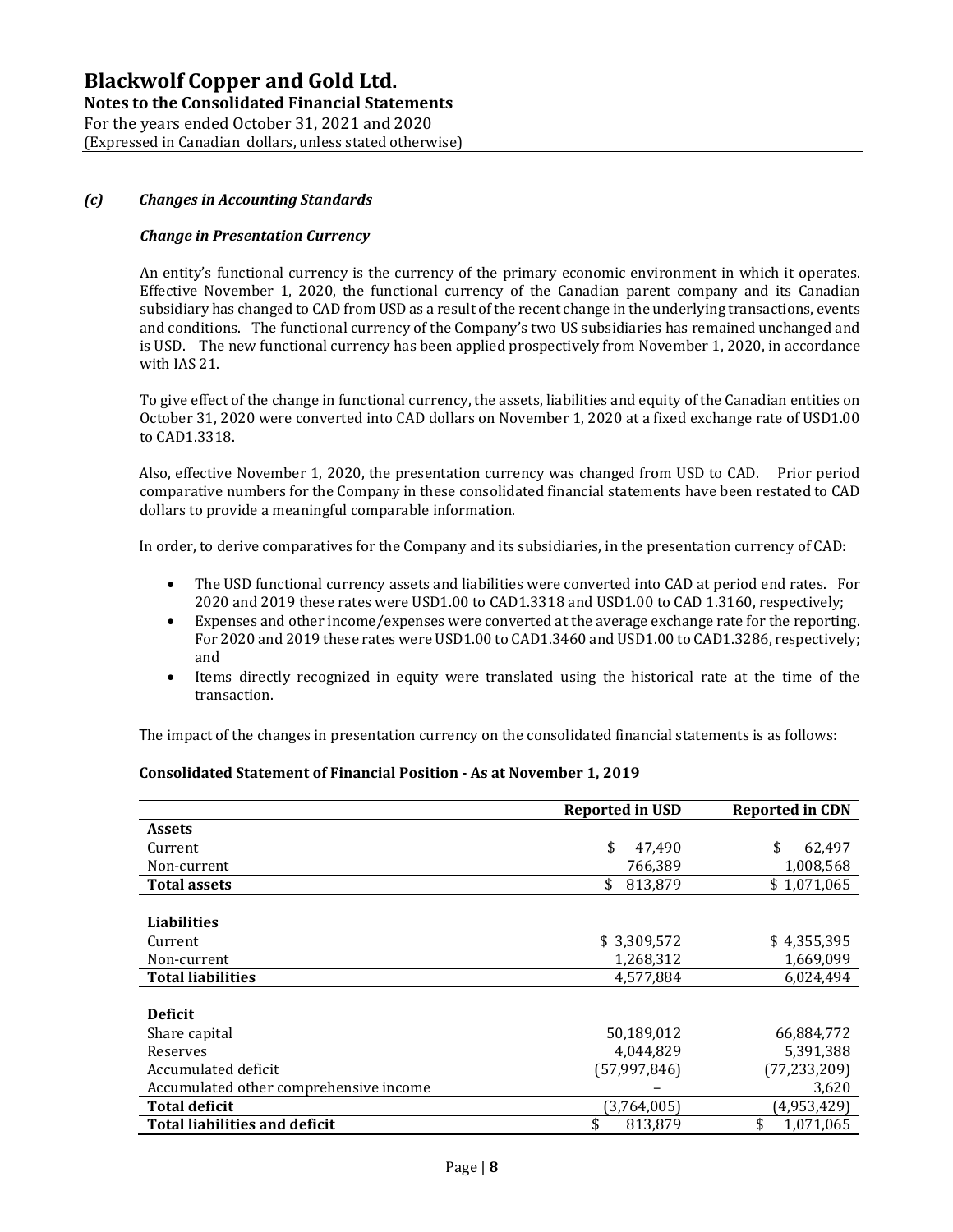### *(c) Changes in Accounting Standards*

### *Change in Presentation Currency*

An entity's functional currency is the currency of the primary economic environment in which it operates. Effective November 1, 2020, the functional currency of the Canadian parent company and its Canadian subsidiary has changed to CAD from USD as a result of the recent change in the underlying transactions, events and conditions. The functional currency of the Company's two US subsidiaries has remained unchanged and is USD. The new functional currency has been applied prospectively from November 1, 2020, in accordance with IAS 21.

To give effect of the change in functional currency, the assets, liabilities and equity of the Canadian entities on October 31, 2020 were converted into CAD dollars on November 1, 2020 at a fixed exchange rate of USD1.00 to CAD1.3318.

Also, effective November 1, 2020, the presentation currency was changed from USD to CAD. Prior period comparative numbers for the Company in these consolidated financial statements have been restated to CAD dollars to provide a meaningful comparable information.

In order, to derive comparatives for the Company and its subsidiaries, in the presentation currency of CAD:

- The USD functional currency assets and liabilities were converted into CAD at period end rates. For 2020 and 2019 these rates were USD1.00 to CAD1.3318 and USD1.00 to CAD 1.3160, respectively;
- Expenses and other income/expenses were converted at the average exchange rate for the reporting. For 2020 and 2019 these rates were USD1.00 to CAD1.3460 and USD1.00 to CAD1.3286, respectively; and
- Items directly recognized in equity were translated using the historical rate at the time of the transaction.

The impact of the changes in presentation currency on the consolidated financial statements is as follows:

### **Consolidated Statement of Financial Position - As at November 1, 2019**

|                                        | <b>Reported in USD</b> | <b>Reported in CDN</b> |
|----------------------------------------|------------------------|------------------------|
| <b>Assets</b>                          |                        |                        |
| Current                                | \$<br>47,490           | \$<br>62,497           |
| Non-current                            | 766,389                | 1,008,568              |
| <b>Total assets</b>                    | 813,879<br>\$          | \$1,071,065            |
|                                        |                        |                        |
| Liabilities                            |                        |                        |
| Current                                | \$3,309,572            | \$4,355,395            |
| Non-current                            | 1,268,312              | 1,669,099              |
| <b>Total liabilities</b>               | 4,577,884              | 6,024,494              |
|                                        |                        |                        |
| <b>Deficit</b>                         |                        |                        |
| Share capital                          | 50,189,012             | 66,884,772             |
| Reserves                               | 4,044,829              | 5,391,388              |
| Accumulated deficit                    | (57,997,846)           | (77, 233, 209)         |
| Accumulated other comprehensive income |                        | 3,620                  |
| <b>Total deficit</b>                   | (3,764,005)            | (4,953,429)            |
| <b>Total liabilities and deficit</b>   | 813.879<br>\$          | \$<br>1,071,065        |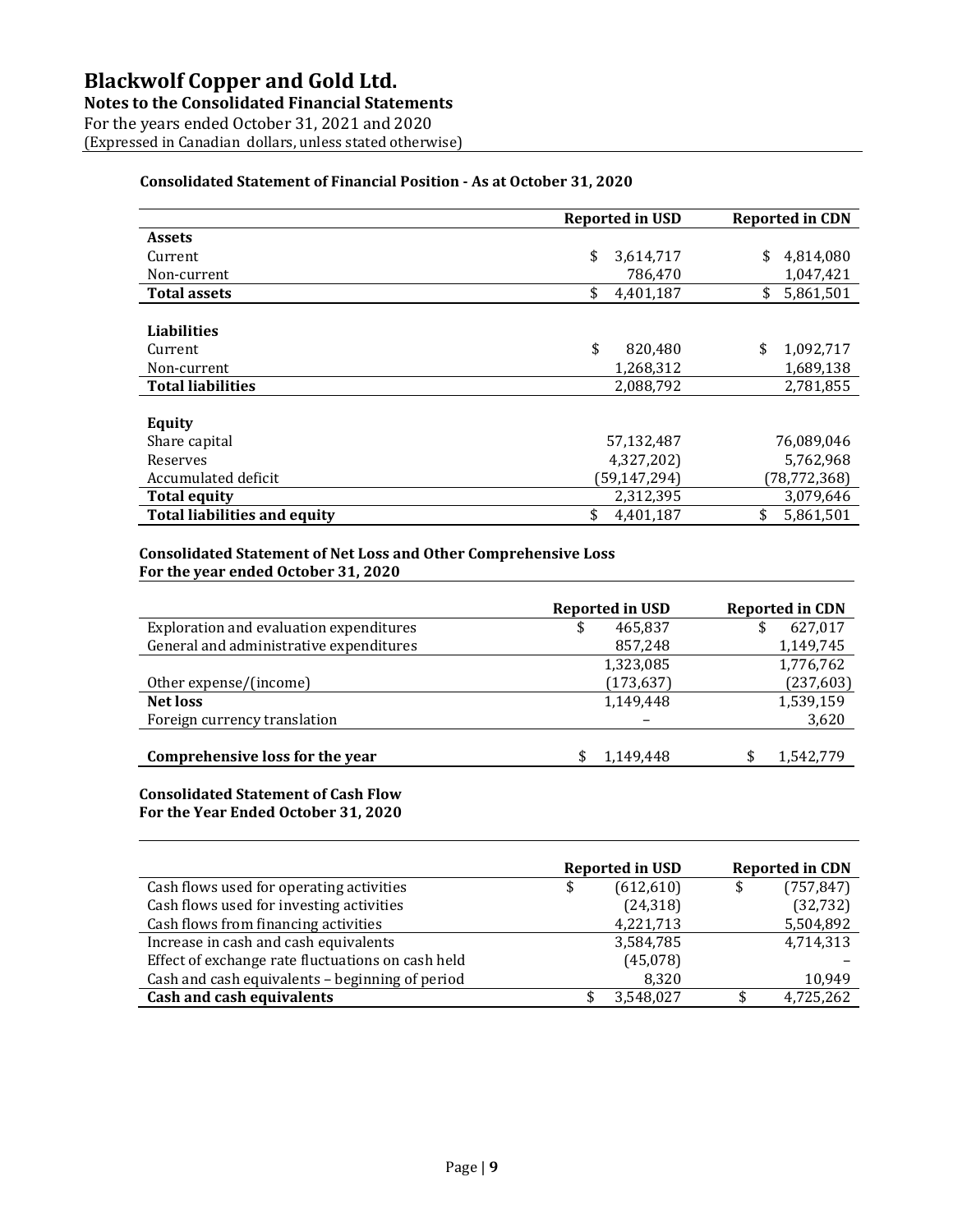**Notes to the Consolidated Financial Statements**

For the years ended October 31, 2021 and 2020 (Expressed in Canadian dollars, unless stated otherwise)

### **Consolidated Statement of Financial Position - As at October 31, 2020**

|                                     | <b>Reported in USD</b> | <b>Reported in CDN</b> |
|-------------------------------------|------------------------|------------------------|
| <b>Assets</b>                       |                        |                        |
| Current                             | \$<br>3,614,717        | \$<br>4,814,080        |
| Non-current                         | 786,470                | 1,047,421              |
| <b>Total assets</b>                 | \$<br>4,401,187        | 5,861,501<br>\$        |
|                                     |                        |                        |
| <b>Liabilities</b>                  |                        |                        |
| Current                             | \$<br>820,480          | \$<br>1,092,717        |
| Non-current                         | 1,268,312              | 1,689,138              |
| <b>Total liabilities</b>            | 2,088,792              | 2,781,855              |
|                                     |                        |                        |
| <b>Equity</b>                       |                        |                        |
| Share capital                       | 57,132,487             | 76,089,046             |
| Reserves                            | 4,327,202)             | 5,762,968              |
| Accumulated deficit                 | (59, 147, 294)         | (78, 772, 368)         |
| <b>Total equity</b>                 | 2,312,395              | 3,079,646              |
| <b>Total liabilities and equity</b> | \$<br>4,401,187        | 5,861,501<br>\$        |

### **Consolidated Statement of Net Loss and Other Comprehensive Loss For the year ended October 31, 2020**

|                                         | <b>Reported in USD</b> | <b>Reported in CDN</b> |
|-----------------------------------------|------------------------|------------------------|
| Exploration and evaluation expenditures | 465,837<br>\$          | 627,017                |
| General and administrative expenditures | 857,248                | 1,149,745              |
|                                         | 1,323,085              | 1,776,762              |
| Other expense/(income)                  | (173, 637)             | (237, 603)             |
| <b>Net loss</b>                         | 1,149,448              | 1,539,159              |
| Foreign currency translation            |                        | 3,620                  |
| Comprehensive loss for the year         | 1,149,448              | 1,542,779              |

### **Consolidated Statement of Cash Flow For the Year Ended October 31, 2020**

|                                                   | <b>Reported in USD</b> |    | <b>Reported in CDN</b> |
|---------------------------------------------------|------------------------|----|------------------------|
| Cash flows used for operating activities          | \$<br>(612, 610)       | \$ | (757, 847)             |
| Cash flows used for investing activities          | (24, 318)              |    | (32, 732)              |
| Cash flows from financing activities              | 4,221,713              |    | 5,504,892              |
| Increase in cash and cash equivalents             | 3,584,785              |    | 4,714,313              |
| Effect of exchange rate fluctuations on cash held | (45,078)               |    |                        |
| Cash and cash equivalents - beginning of period   | 8,320                  |    | 10,949                 |
| Cash and cash equivalents                         | 3,548,027              | .S | 4,725,262              |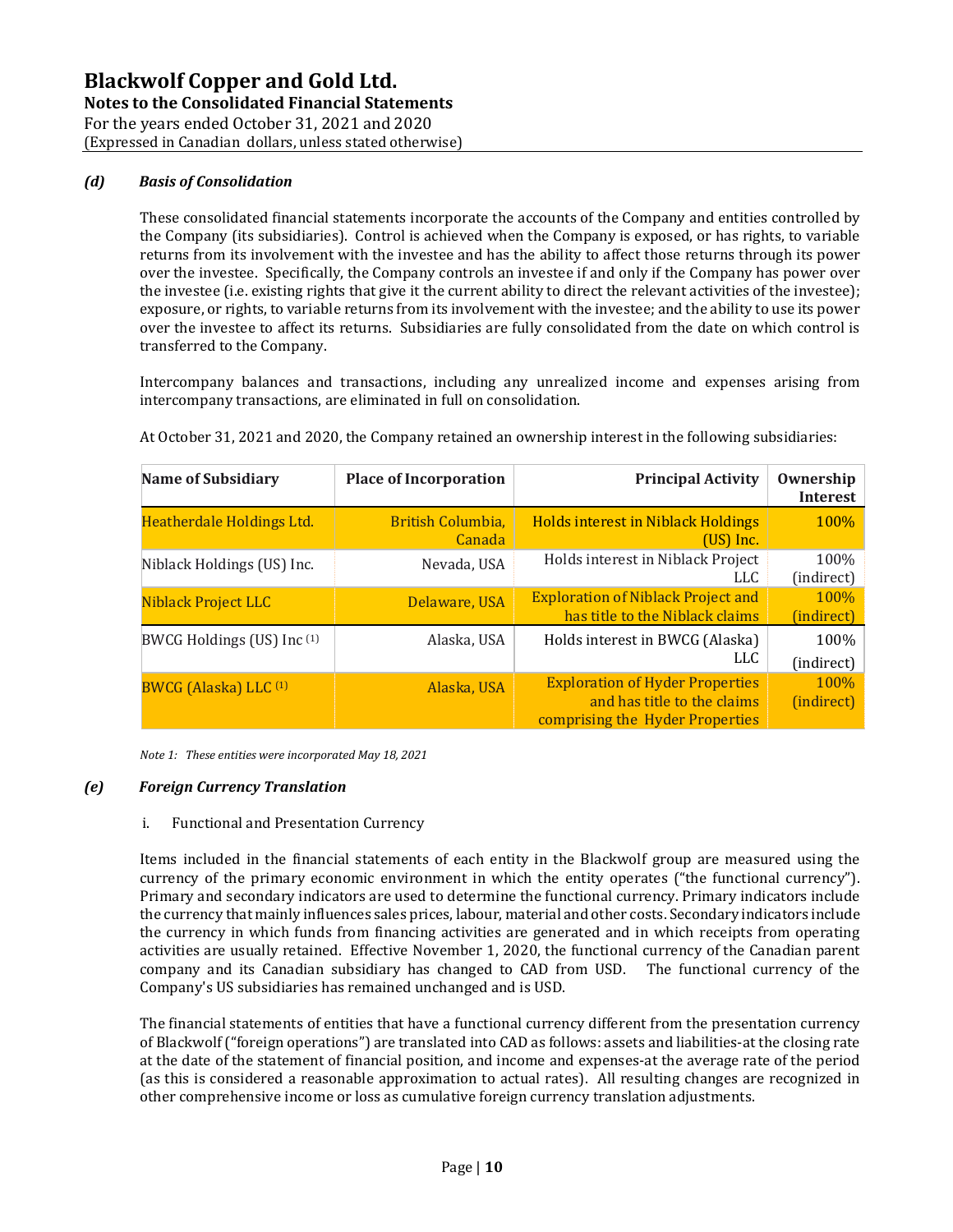**Notes to the Consolidated Financial Statements**

For the years ended October 31, 2021 and 2020 (Expressed in Canadian dollars, unless stated otherwise)

### *(d) Basis of Consolidation*

These consolidated financial statements incorporate the accounts of the Company and entities controlled by the Company (its subsidiaries). Control is achieved when the Company is exposed, or has rights, to variable returns from its involvement with the investee and has the ability to affect those returns through its power over the investee. Specifically, the Company controls an investee if and only if the Company has power over the investee (i.e. existing rights that give it the current ability to direct the relevant activities of the investee); exposure, or rights, to variable returns from its involvement with the investee; and the ability to use its power over the investee to affect its returns. Subsidiaries are fully consolidated from the date on which control is transferred to the Company.

Intercompany balances and transactions, including any unrealized income and expenses arising from intercompany transactions, are eliminated in full on consolidation.

| <b>Name of Subsidiary</b>  | <b>Place of Incorporation</b> | <b>Principal Activity</b>                                                                                | Ownership<br><b>Interest</b> |
|----------------------------|-------------------------------|----------------------------------------------------------------------------------------------------------|------------------------------|
| Heatherdale Holdings Ltd.  | British Columbia,<br>Canada   | Holds interest in Niblack Holdings<br>$(US)$ Inc.                                                        | 100%                         |
| Niblack Holdings (US) Inc. | Nevada, USA                   | Holds interest in Niblack Project<br><b>LLC</b>                                                          | 100%<br>(indirect)           |
| Niblack Project LLC        | Delaware, USA                 | <b>Exploration of Niblack Project and</b><br>has title to the Niblack claims                             | 100%<br>(indirect)           |
| BWCG Holdings (US) Inc (1) | Alaska, USA                   | Holds interest in BWCG (Alaska)<br><b>LLC</b>                                                            | 100%<br>(indirect)           |
| BWCG (Alaska) LLC $(1)$    | Alaska, USA                   | <b>Exploration of Hyder Properties</b><br>and has title to the claims<br>comprising the Hyder Properties | 100%<br>(indirect)           |

At October 31, 2021 and 2020, the Company retained an ownership interest in the following subsidiaries:

*Note 1: These entities were incorporated May 18, 2021*

### *(e) Foreign Currency Translation*

### i. Functional and Presentation Currency

Items included in the financial statements of each entity in the Blackwolf group are measured using the currency of the primary economic environment in which the entity operates ("the functional currency"). Primary and secondary indicators are used to determine the functional currency. Primary indicators include the currency that mainly influences sales prices, labour, material and other costs. Secondary indicators include the currency in which funds from financing activities are generated and in which receipts from operating activities are usually retained. Effective November 1, 2020, the functional currency of the Canadian parent company and its Canadian subsidiary has changed to CAD from USD. The functional currency of the Company's US subsidiaries has remained unchanged and is USD.

The financial statements of entities that have a functional currency different from the presentation currency of Blackwolf ("foreign operations") are translated into CAD as follows: assets and liabilities-at the closing rate at the date of the statement of financial position, and income and expenses-at the average rate of the period (as this is considered a reasonable approximation to actual rates). All resulting changes are recognized in other comprehensive income or loss as cumulative foreign currency translation adjustments.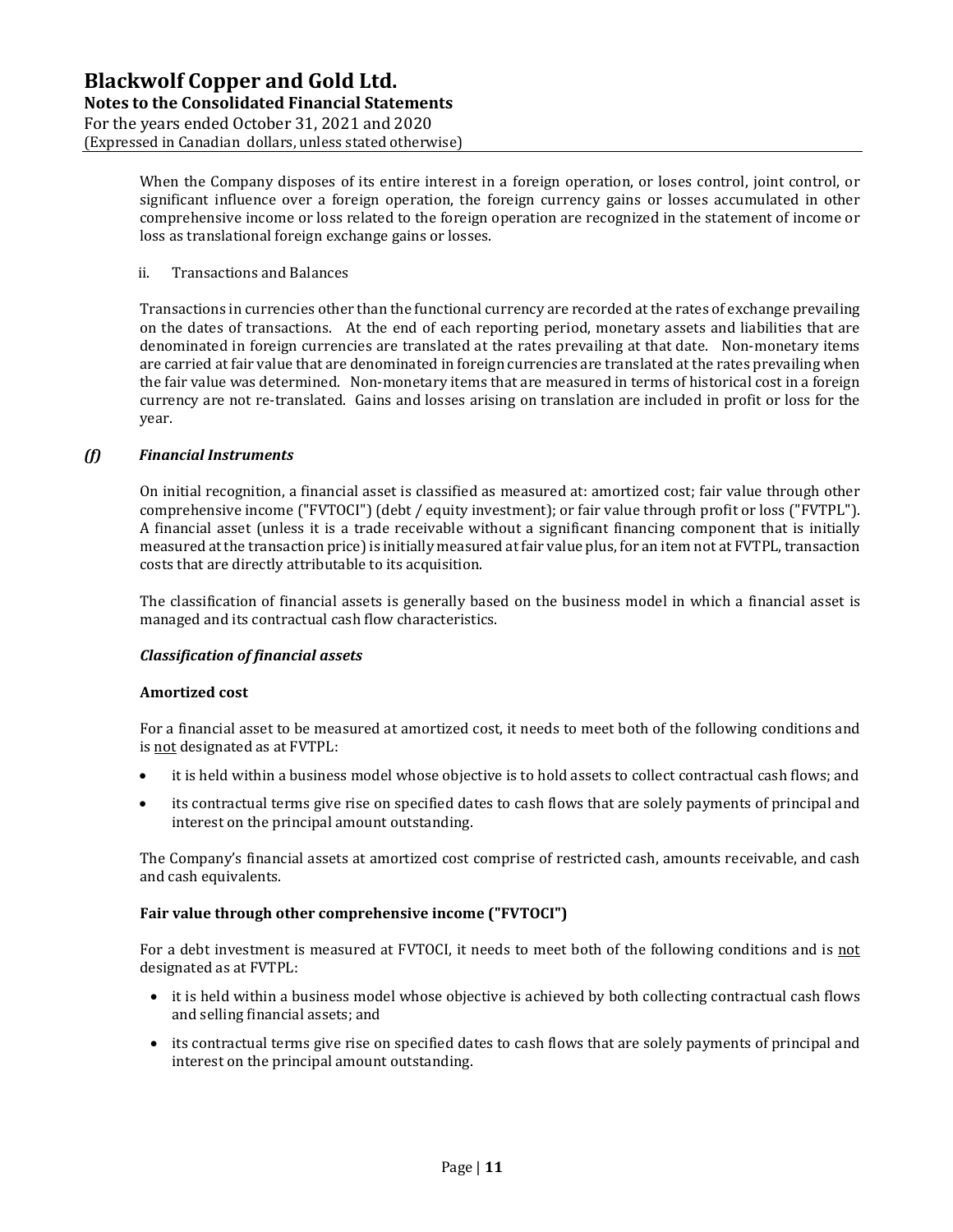(Expressed in Canadian dollars, unless stated otherwise)

When the Company disposes of its entire interest in a foreign operation, or loses control, joint control, or significant influence over a foreign operation, the foreign currency gains or losses accumulated in other comprehensive income or loss related to the foreign operation are recognized in the statement of income or loss as translational foreign exchange gains or losses.

### ii. Transactions and Balances

Transactions in currencies other than the functional currency are recorded at the rates of exchange prevailing on the dates of transactions. At the end of each reporting period, monetary assets and liabilities that are denominated in foreign currencies are translated at the rates prevailing at that date. Non-monetary items are carried at fair value that are denominated in foreign currencies are translated at the rates prevailing when the fair value was determined. Non-monetary items that are measured in terms of historical cost in a foreign currency are not re-translated. Gains and losses arising on translation are included in profit or loss for the year.

### *(f) Financial Instruments*

On initial recognition, a financial asset is classified as measured at: amortized cost; fair value through other comprehensive income ("FVTOCI") (debt / equity investment); or fair value through profit or loss ("FVTPL"). A financial asset (unless it is a trade receivable without a significant financing component that is initially measured at the transaction price) is initially measured at fair value plus, for an item not at FVTPL, transaction costs that are directly attributable to its acquisition.

The classification of financial assets is generally based on the business model in which a financial asset is managed and its contractual cash flow characteristics.

### *Classification of financial assets*

### **Amortized cost**

For a financial asset to be measured at amortized cost, it needs to meet both of the following conditions and is not designated as at FVTPL:

- it is held within a business model whose objective is to hold assets to collect contractual cash flows; and
- its contractual terms give rise on specified dates to cash flows that are solely payments of principal and interest on the principal amount outstanding.

The Company's financial assets at amortized cost comprise of restricted cash, amounts receivable, and cash and cash equivalents.

### **Fair value through other comprehensive income ("FVTOCI")**

For a debt investment is measured at FVTOCI, it needs to meet both of the following conditions and is not designated as at FVTPL:

- it is held within a business model whose objective is achieved by both collecting contractual cash flows and selling financial assets; and
- its contractual terms give rise on specified dates to cash flows that are solely payments of principal and interest on the principal amount outstanding.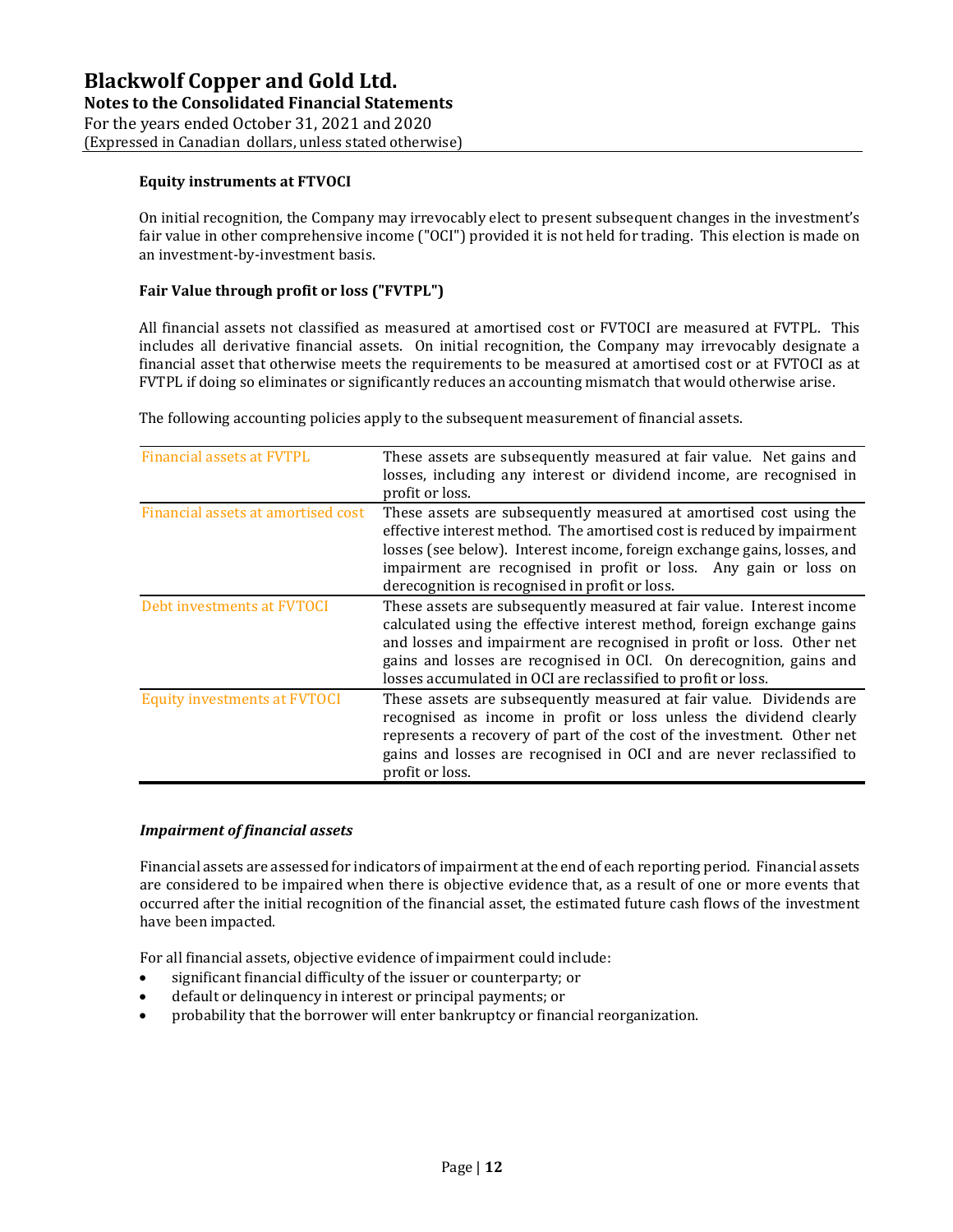**Notes to the Consolidated Financial Statements**

For the years ended October 31, 2021 and 2020 (Expressed in Canadian dollars, unless stated otherwise)

### **Equity instruments at FTVOCI**

On initial recognition, the Company may irrevocably elect to present subsequent changes in the investment's fair value in other comprehensive income ("OCI") provided it is not held for trading. This election is made on an investment-by-investment basis.

### **Fair Value through profit or loss ("FVTPL")**

All financial assets not classified as measured at amortised cost or FVTOCI are measured at FVTPL. This includes all derivative financial assets. On initial recognition, the Company may irrevocably designate a financial asset that otherwise meets the requirements to be measured at amortised cost or at FVTOCI as at FVTPL if doing so eliminates or significantly reduces an accounting mismatch that would otherwise arise.

The following accounting policies apply to the subsequent measurement of financial assets.

| <b>Financial assets at FVTPL</b>    | These assets are subsequently measured at fair value. Net gains and<br>losses, including any interest or dividend income, are recognised in<br>profit or loss.                                                                                                                                                                                                   |
|-------------------------------------|------------------------------------------------------------------------------------------------------------------------------------------------------------------------------------------------------------------------------------------------------------------------------------------------------------------------------------------------------------------|
| Financial assets at amortised cost  | These assets are subsequently measured at amortised cost using the<br>effective interest method. The amortised cost is reduced by impairment<br>losses (see below). Interest income, foreign exchange gains, losses, and<br>impairment are recognised in profit or loss. Any gain or loss on<br>derecognition is recognised in profit or loss.                   |
| Debt investments at FVTOCI          | These assets are subsequently measured at fair value. Interest income<br>calculated using the effective interest method, foreign exchange gains<br>and losses and impairment are recognised in profit or loss. Other net<br>gains and losses are recognised in OCI. On derecognition, gains and<br>losses accumulated in OCI are reclassified to profit or loss. |
| <b>Equity investments at FVTOCI</b> | These assets are subsequently measured at fair value. Dividends are<br>recognised as income in profit or loss unless the dividend clearly<br>represents a recovery of part of the cost of the investment. Other net<br>gains and losses are recognised in OCI and are never reclassified to<br>profit or loss.                                                   |

### *Impairment of financial assets*

Financial assets are assessed for indicators of impairment at the end of each reporting period. Financial assets are considered to be impaired when there is objective evidence that, as a result of one or more events that occurred after the initial recognition of the financial asset, the estimated future cash flows of the investment have been impacted.

For all financial assets, objective evidence of impairment could include:

- significant financial difficulty of the issuer or counterparty; or
- default or delinquency in interest or principal payments; or
- probability that the borrower will enter bankruptcy or financial reorganization.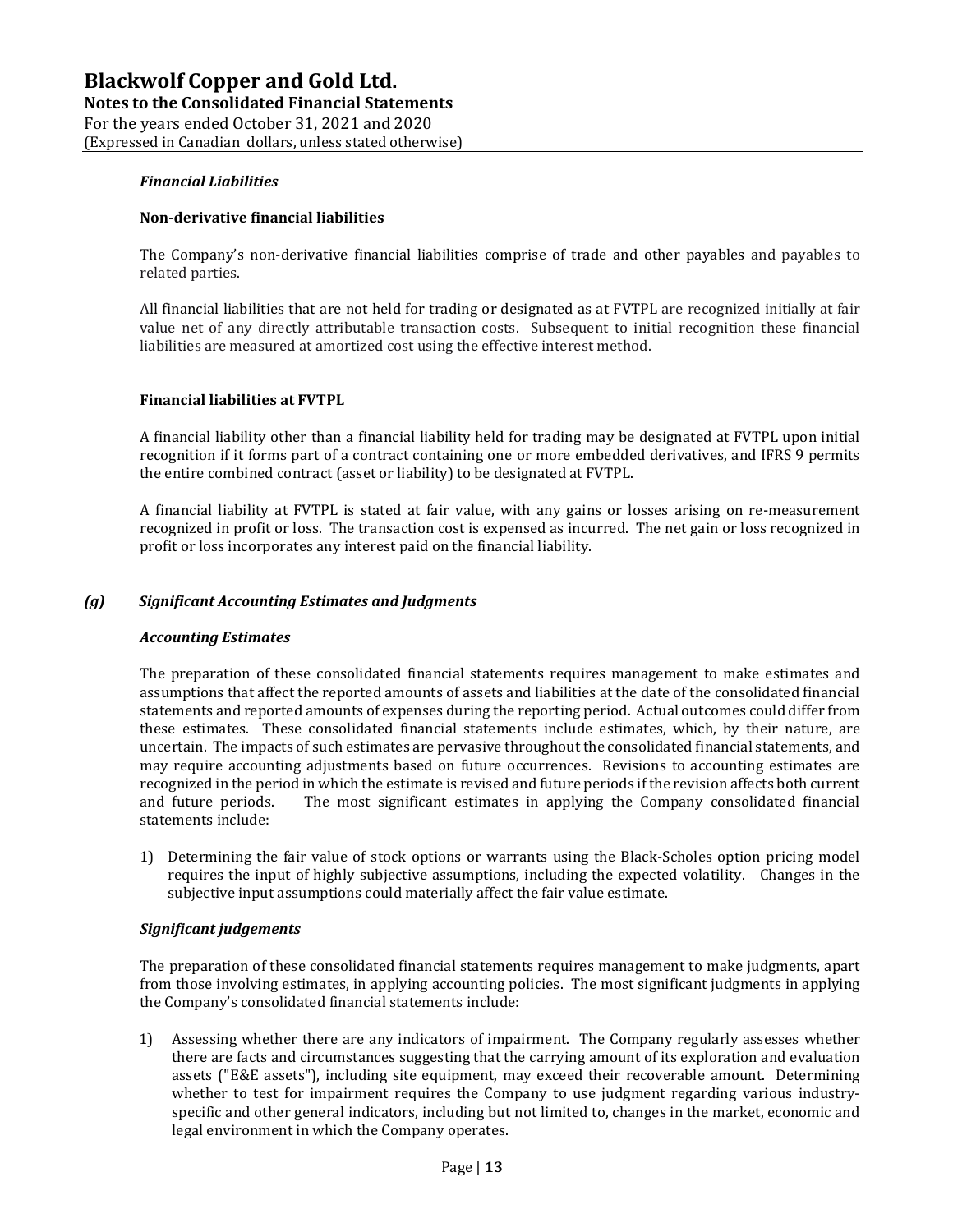For the years ended October 31, 2021 and 2020 (Expressed in Canadian dollars, unless stated otherwise)

### *Financial Liabilities*

### **Non-derivative financial liabilities**

The Company's non-derivative financial liabilities comprise of trade and other payables and payables to related parties.

All financial liabilities that are not held for trading or designated as at FVTPL are recognized initially at fair value net of any directly attributable transaction costs. Subsequent to initial recognition these financial liabilities are measured at amortized cost using the effective interest method.

### **Financial liabilities at FVTPL**

A financial liability other than a financial liability held for trading may be designated at FVTPL upon initial recognition if it forms part of a contract containing one or more embedded derivatives, and IFRS 9 permits the entire combined contract (asset or liability) to be designated at FVTPL.

A financial liability at FVTPL is stated at fair value, with any gains or losses arising on re-measurement recognized in profit or loss. The transaction cost is expensed as incurred. The net gain or loss recognized in profit or loss incorporates any interest paid on the financial liability.

### *(g) Significant Accounting Estimates and Judgments*

### *Accounting Estimates*

The preparation of these consolidated financial statements requires management to make estimates and assumptions that affect the reported amounts of assets and liabilities at the date of the consolidated financial statements and reported amounts of expenses during the reporting period. Actual outcomes could differ from these estimates. These consolidated financial statements include estimates, which, by their nature, are uncertain. The impacts of such estimates are pervasive throughout the consolidated financial statements, and may require accounting adjustments based on future occurrences. Revisions to accounting estimates are recognized in the period in which the estimate is revised and future periods if the revision affects both current<br>and future periods. The most significant estimates in applying the Company consolidated financial The most significant estimates in applying the Company consolidated financial statements include:

1) Determining the fair value of stock options or warrants using the Black-Scholes option pricing model requires the input of highly subjective assumptions, including the expected volatility. Changes in the subjective input assumptions could materially affect the fair value estimate.

### *Significant judgements*

The preparation of these consolidated financial statements requires management to make judgments, apart from those involving estimates, in applying accounting policies. The most significant judgments in applying the Company's consolidated financial statements include:

1) Assessing whether there are any indicators of impairment. The Company regularly assesses whether there are facts and circumstances suggesting that the carrying amount of its exploration and evaluation assets ("E&E assets"), including site equipment, may exceed their recoverable amount. Determining whether to test for impairment requires the Company to use judgment regarding various industryspecific and other general indicators, including but not limited to, changes in the market, economic and legal environment in which the Company operates.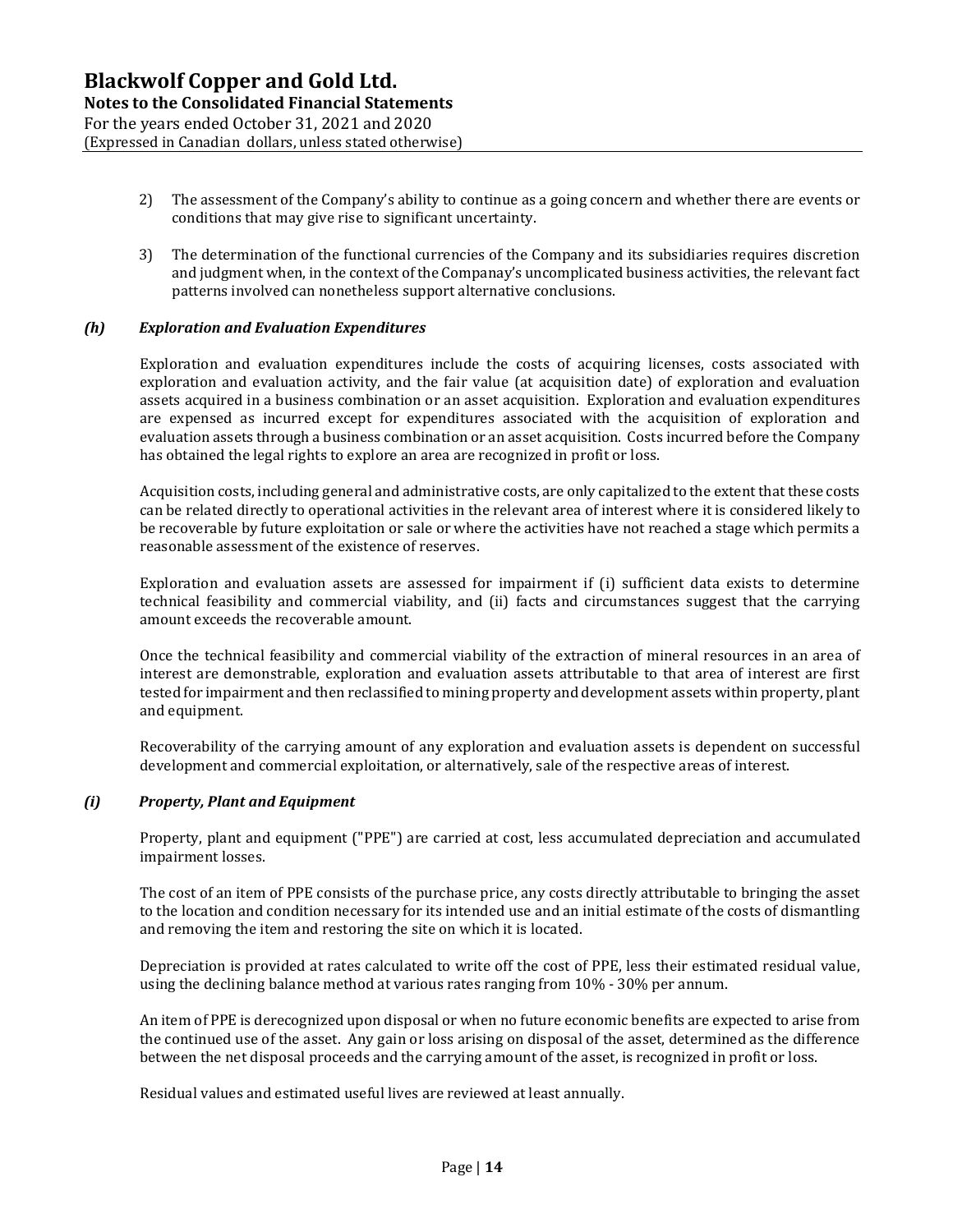- 2) The assessment of the Company's ability to continue as a going concern and whether there are events or conditions that may give rise to significant uncertainty.
- 3) The determination of the functional currencies of the Company and its subsidiaries requires discretion and judgment when, in the context of the Companay's uncomplicated business activities, the relevant fact patterns involved can nonetheless support alternative conclusions.

### *(h) Exploration and Evaluation Expenditures*

Exploration and evaluation expenditures include the costs of acquiring licenses, costs associated with exploration and evaluation activity, and the fair value (at acquisition date) of exploration and evaluation assets acquired in a business combination or an asset acquisition. Exploration and evaluation expenditures are expensed as incurred except for expenditures associated with the acquisition of exploration and evaluation assets through a business combination or an asset acquisition. Costs incurred before the Company has obtained the legal rights to explore an area are recognized in profit or loss.

Acquisition costs, including general and administrative costs, are only capitalized to the extent that these costs can be related directly to operational activities in the relevant area of interest where it is considered likely to be recoverable by future exploitation or sale or where the activities have not reached a stage which permits a reasonable assessment of the existence of reserves.

Exploration and evaluation assets are assessed for impairment if (i) sufficient data exists to determine technical feasibility and commercial viability, and (ii) facts and circumstances suggest that the carrying amount exceeds the recoverable amount.

Once the technical feasibility and commercial viability of the extraction of mineral resources in an area of interest are demonstrable, exploration and evaluation assets attributable to that area of interest are first tested for impairment and then reclassified to mining property and development assets within property, plant and equipment.

Recoverability of the carrying amount of any exploration and evaluation assets is dependent on successful development and commercial exploitation, or alternatively, sale of the respective areas of interest.

### *(i) Property, Plant and Equipment*

Property, plant and equipment ("PPE") are carried at cost, less accumulated depreciation and accumulated impairment losses.

The cost of an item of PPE consists of the purchase price, any costs directly attributable to bringing the asset to the location and condition necessary for its intended use and an initial estimate of the costs of dismantling and removing the item and restoring the site on which it is located.

Depreciation is provided at rates calculated to write off the cost of PPE, less their estimated residual value, using the declining balance method at various rates ranging from 10% - 30% per annum.

An item of PPE is derecognized upon disposal or when no future economic benefits are expected to arise from the continued use of the asset. Any gain or loss arising on disposal of the asset, determined as the difference between the net disposal proceeds and the carrying amount of the asset, is recognized in profit or loss.

Residual values and estimated useful lives are reviewed at least annually.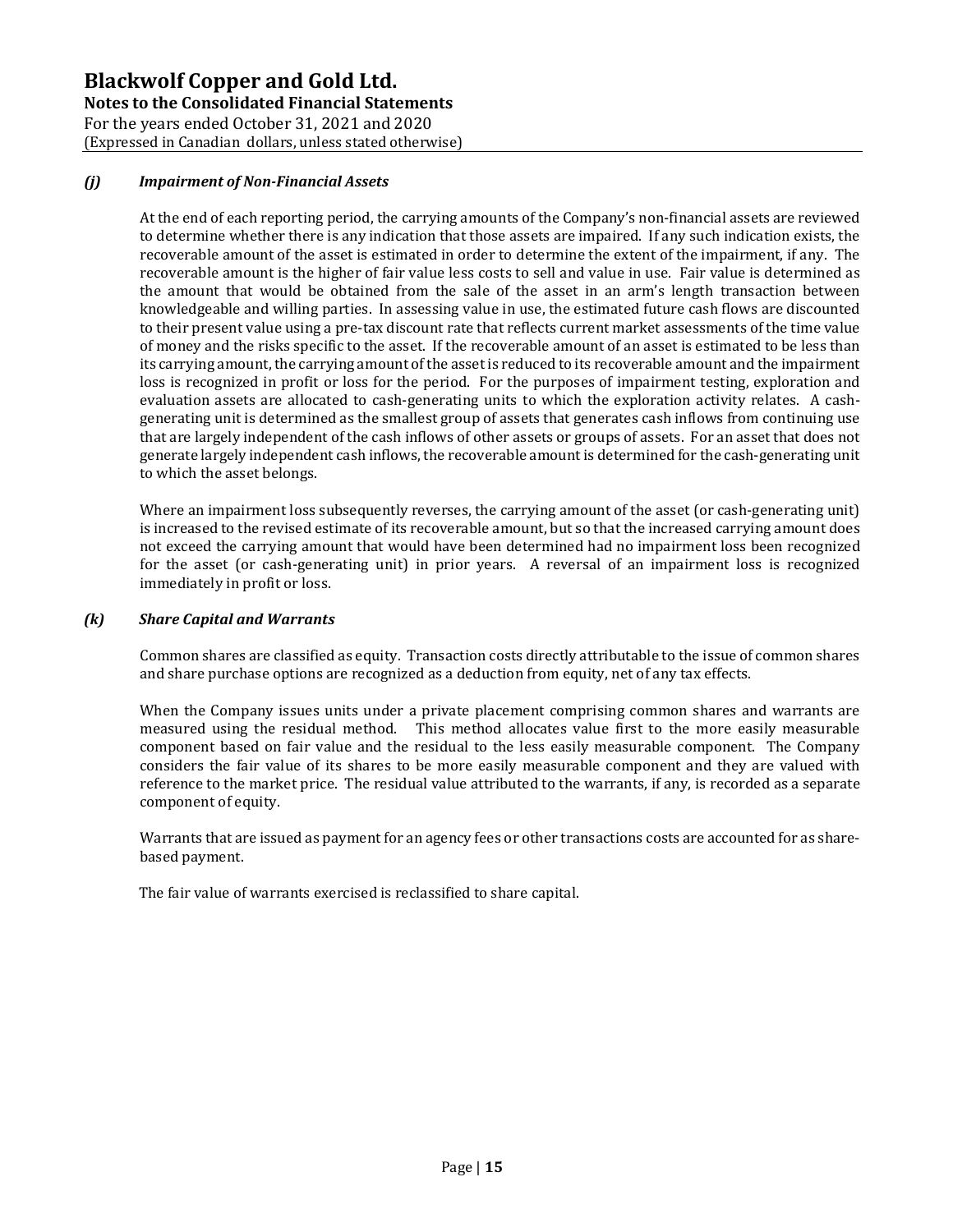**Notes to the Consolidated Financial Statements**

For the years ended October 31, 2021 and 2020 (Expressed in Canadian dollars, unless stated otherwise)

### *(j) Impairment of Non-Financial Assets*

At the end of each reporting period, the carrying amounts of the Company's non-financial assets are reviewed to determine whether there is any indication that those assets are impaired. If any such indication exists, the recoverable amount of the asset is estimated in order to determine the extent of the impairment, if any. The recoverable amount is the higher of fair value less costs to sell and value in use. Fair value is determined as the amount that would be obtained from the sale of the asset in an arm's length transaction between knowledgeable and willing parties. In assessing value in use, the estimated future cash flows are discounted to their present value using a pre-tax discount rate that reflects current market assessments of the time value of money and the risks specific to the asset. If the recoverable amount of an asset is estimated to be less than its carrying amount, the carrying amount of the asset is reduced to its recoverable amount and the impairment loss is recognized in profit or loss for the period. For the purposes of impairment testing, exploration and evaluation assets are allocated to cash-generating units to which the exploration activity relates. A cashgenerating unit is determined as the smallest group of assets that generates cash inflows from continuing use that are largely independent of the cash inflows of other assets or groups of assets. For an asset that does not generate largely independent cash inflows, the recoverable amount is determined for the cash-generating unit to which the asset belongs.

Where an impairment loss subsequently reverses, the carrying amount of the asset (or cash-generating unit) is increased to the revised estimate of its recoverable amount, but so that the increased carrying amount does not exceed the carrying amount that would have been determined had no impairment loss been recognized for the asset (or cash-generating unit) in prior years. A reversal of an impairment loss is recognized immediately in profit or loss.

### *(k) Share Capital and Warrants*

Common shares are classified as equity. Transaction costs directly attributable to the issue of common shares and share purchase options are recognized as a deduction from equity, net of any tax effects.

When the Company issues units under a private placement comprising common shares and warrants are measured using the residual method. This method allocates value first to the more easily measurable component based on fair value and the residual to the less easily measurable component. The Company considers the fair value of its shares to be more easily measurable component and they are valued with reference to the market price. The residual value attributed to the warrants, if any, is recorded as a separate component of equity.

Warrants that are issued as payment for an agency fees or other transactions costs are accounted for as sharebased payment.

The fair value of warrants exercised is reclassified to share capital.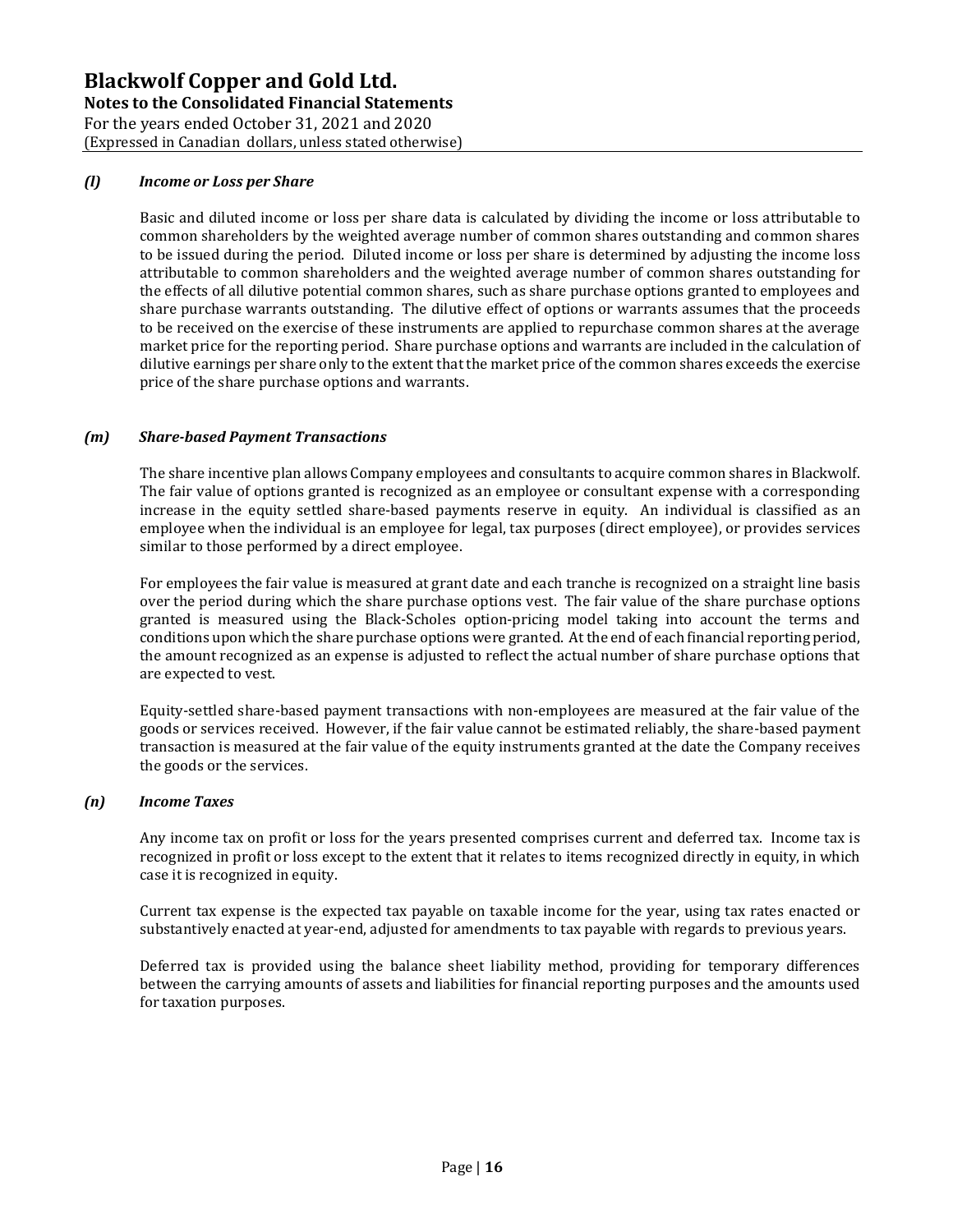**Notes to the Consolidated Financial Statements**

For the years ended October 31, 2021 and 2020 (Expressed in Canadian dollars, unless stated otherwise)

### *(l) Income or Loss per Share*

Basic and diluted income or loss per share data is calculated by dividing the income or loss attributable to common shareholders by the weighted average number of common shares outstanding and common shares to be issued during the period. Diluted income or loss per share is determined by adjusting the income loss attributable to common shareholders and the weighted average number of common shares outstanding for the effects of all dilutive potential common shares, such as share purchase options granted to employees and share purchase warrants outstanding. The dilutive effect of options or warrants assumes that the proceeds to be received on the exercise of these instruments are applied to repurchase common shares at the average market price for the reporting period. Share purchase options and warrants are included in the calculation of dilutive earnings per share only to the extent that the market price of the common shares exceeds the exercise price of the share purchase options and warrants.

### *(m) Share-based Payment Transactions*

The share incentive plan allows Company employees and consultants to acquire common shares in Blackwolf. The fair value of options granted is recognized as an employee or consultant expense with a corresponding increase in the equity settled share-based payments reserve in equity. An individual is classified as an employee when the individual is an employee for legal, tax purposes (direct employee), or provides services similar to those performed by a direct employee.

For employees the fair value is measured at grant date and each tranche is recognized on a straight line basis over the period during which the share purchase options vest. The fair value of the share purchase options granted is measured using the Black-Scholes option-pricing model taking into account the terms and conditions upon which the share purchase options were granted. At the end of each financial reporting period, the amount recognized as an expense is adjusted to reflect the actual number of share purchase options that are expected to vest.

Equity-settled share-based payment transactions with non-employees are measured at the fair value of the goods or services received. However, if the fair value cannot be estimated reliably, the share-based payment transaction is measured at the fair value of the equity instruments granted at the date the Company receives the goods or the services.

### *(n) Income Taxes*

Any income tax on profit or loss for the years presented comprises current and deferred tax. Income tax is recognized in profit or loss except to the extent that it relates to items recognized directly in equity, in which case it is recognized in equity.

Current tax expense is the expected tax payable on taxable income for the year, using tax rates enacted or substantively enacted at year-end, adjusted for amendments to tax payable with regards to previous years.

Deferred tax is provided using the balance sheet liability method, providing for temporary differences between the carrying amounts of assets and liabilities for financial reporting purposes and the amounts used for taxation purposes.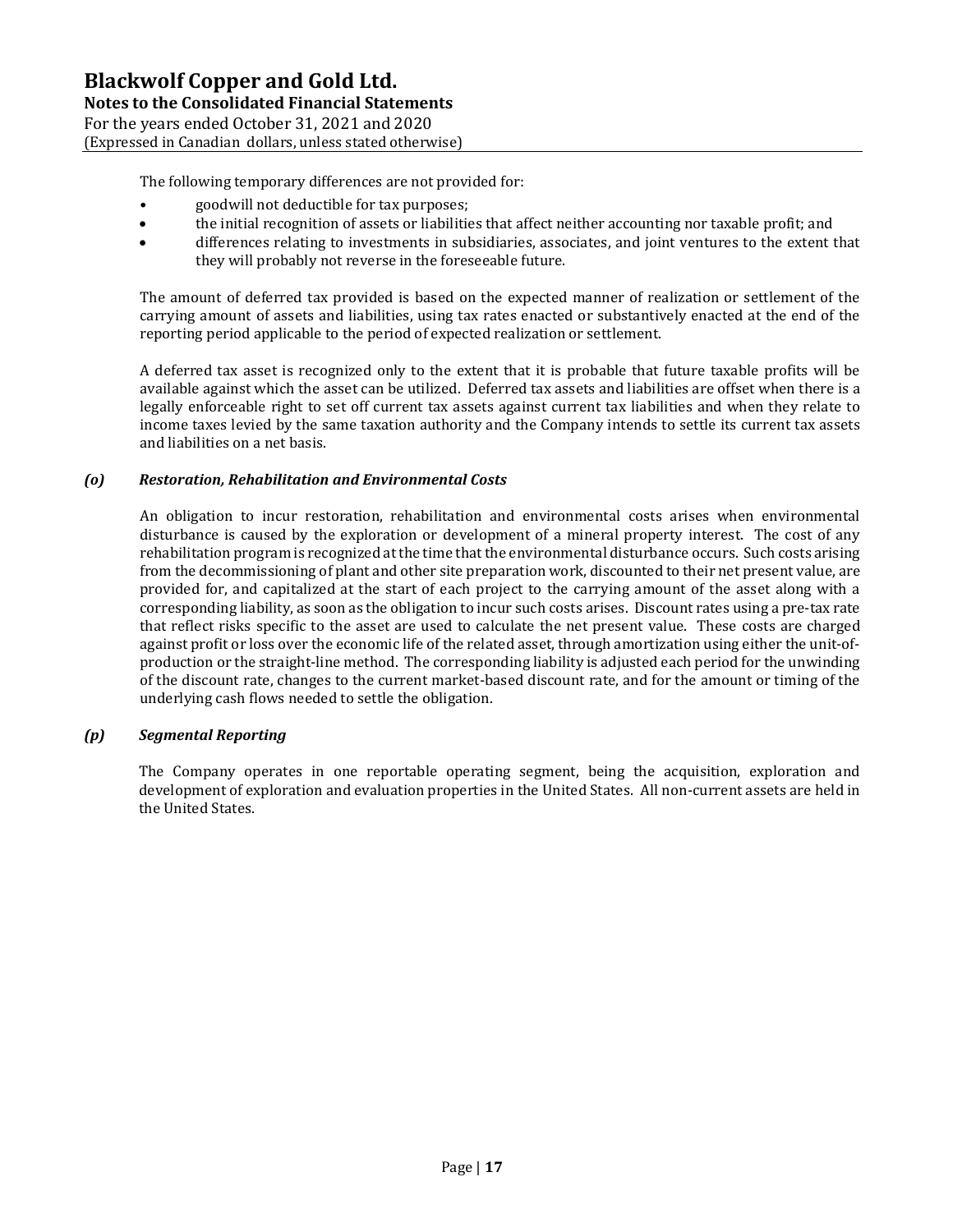**Notes to the Consolidated Financial Statements**

For the years ended October 31, 2021 and 2020 (Expressed in Canadian dollars, unless stated otherwise)

The following temporary differences are not provided for:

- goodwill not deductible for tax purposes;<br>• the initial recognition of assets or liabilities
- the initial recognition of assets or liabilities that affect neither accounting nor taxable profit; and
- differences relating to investments in subsidiaries, associates, and joint ventures to the extent that they will probably not reverse in the foreseeable future.

The amount of deferred tax provided is based on the expected manner of realization or settlement of the carrying amount of assets and liabilities, using tax rates enacted or substantively enacted at the end of the reporting period applicable to the period of expected realization or settlement.

A deferred tax asset is recognized only to the extent that it is probable that future taxable profits will be available against which the asset can be utilized. Deferred tax assets and liabilities are offset when there is a legally enforceable right to set off current tax assets against current tax liabilities and when they relate to income taxes levied by the same taxation authority and the Company intends to settle its current tax assets and liabilities on a net basis.

### *(o) Restoration, Rehabilitation and Environmental Costs*

An obligation to incur restoration, rehabilitation and environmental costs arises when environmental disturbance is caused by the exploration or development of a mineral property interest. The cost of any rehabilitation program is recognized at the time that the environmental disturbance occurs. Such costs arising from the decommissioning of plant and other site preparation work, discounted to their net present value, are provided for, and capitalized at the start of each project to the carrying amount of the asset along with a corresponding liability, as soon as the obligation to incur such costs arises. Discount rates using a pre-tax rate that reflect risks specific to the asset are used to calculate the net present value. These costs are charged against profit or loss over the economic life of the related asset, through amortization using either the unit-ofproduction or the straight-line method. The corresponding liability is adjusted each period for the unwinding of the discount rate, changes to the current market-based discount rate, and for the amount or timing of the underlying cash flows needed to settle the obligation.

### *(p) Segmental Reporting*

The Company operates in one reportable operating segment, being the acquisition, exploration and development of exploration and evaluation properties in the United States. All non-current assets are held in the United States.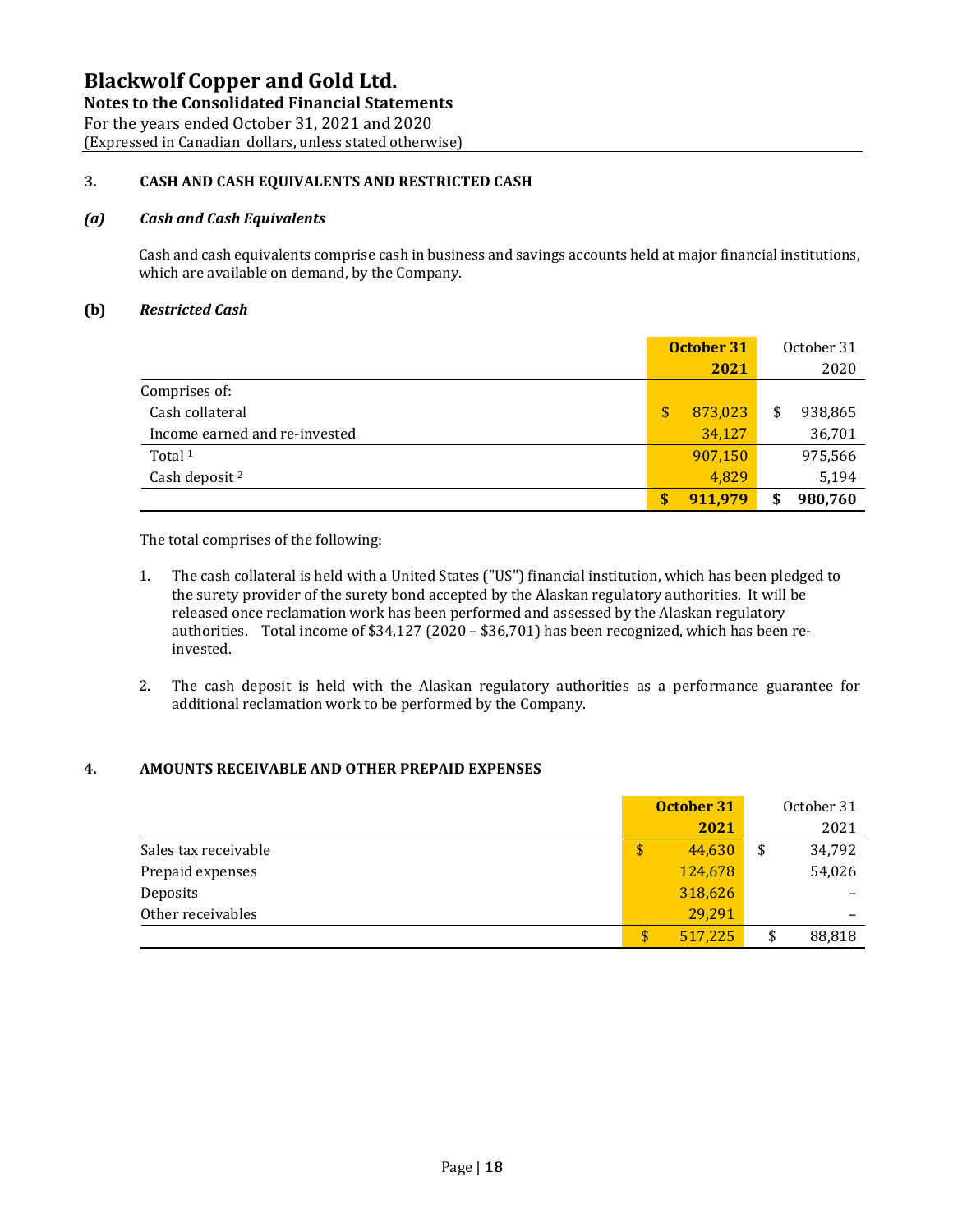**Notes to the Consolidated Financial Statements**

For the years ended October 31, 2021 and 2020 (Expressed in Canadian dollars, unless stated otherwise)

### **3. CASH AND CASH EQUIVALENTS AND RESTRICTED CASH**

### *(a) Cash and Cash Equivalents*

Cash and cash equivalents comprise cash in business and savings accounts held at major financial institutions, which are available on demand, by the Company.

### **(b)** *Restricted Cash*

|                               | October 31    | October 31    |
|-------------------------------|---------------|---------------|
|                               | 2021          | 2020          |
| Comprises of:                 |               |               |
| Cash collateral               | \$<br>873,023 | \$<br>938,865 |
| Income earned and re-invested | 34,127        | 36,701        |
| Total <sup>1</sup>            | 907,150       | 975,566       |
| Cash deposit <sup>2</sup>     | 4,829         | 5,194         |
|                               | \$<br>911,979 | \$<br>980,760 |

The total comprises of the following:

- 1. The cash collateral is held with a United States ("US") financial institution, which has been pledged to the surety provider of the surety bond accepted by the Alaskan regulatory authorities. It will be released once reclamation work has been performed and assessed by the Alaskan regulatory authorities. Total income of \$34,127 (2020 – \$36,701) has been recognized, which has been reinvested.
- 2. The cash deposit is held with the Alaskan regulatory authorities as a performance guarantee for additional reclamation work to be performed by the Company.

### **4. AMOUNTS RECEIVABLE AND OTHER PREPAID EXPENSES**

|                      |               | October 31 | October 31   |
|----------------------|---------------|------------|--------------|
|                      |               | 2021       | 2021         |
| Sales tax receivable | $\mathsf{\$}$ | 44.630     | \$<br>34,792 |
| Prepaid expenses     |               | 124,678    | 54,026       |
| Deposits             |               | 318,626    |              |
| Other receivables    |               | 29,291     |              |
|                      | \$            | 517,225    | \$<br>88,818 |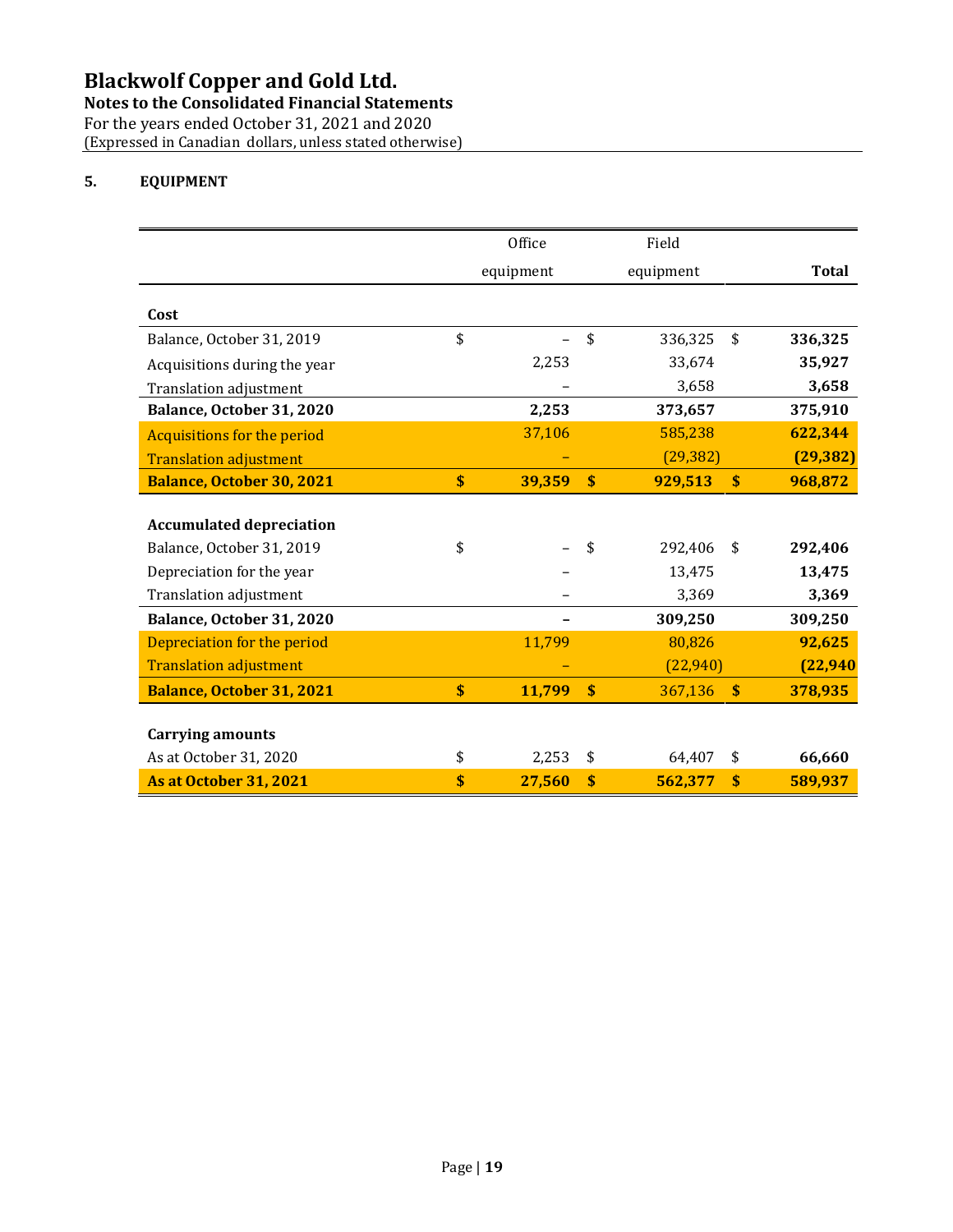**Notes to the Consolidated Financial Statements**

For the years ended October 31, 2021 and 2020 (Expressed in Canadian dollars, unless stated otherwise)

### **5. EQUIPMENT**

|                                                        | Office                              | Field                                |               |
|--------------------------------------------------------|-------------------------------------|--------------------------------------|---------------|
|                                                        | equipment                           | equipment                            | <b>Total</b>  |
|                                                        |                                     |                                      |               |
| Cost                                                   |                                     |                                      |               |
| \$<br>Balance, October 31, 2019                        |                                     | \$<br>336,325                        | \$<br>336,325 |
| Acquisitions during the year                           | 2,253                               | 33,674                               | 35,927        |
| Translation adjustment                                 |                                     | 3,658                                | 3,658         |
| Balance, October 31, 2020                              | 2,253                               | 373,657                              | 375,910       |
| <b>Acquisitions for the period</b>                     | 37,106                              | 585,238                              | 622,344       |
| <b>Translation adjustment</b>                          |                                     | (29, 382)                            | (29, 382)     |
| $\mathbf{\hat{s}}$<br><b>Balance, October 30, 2021</b> | 39,359                              | $\boldsymbol{\mathsf{s}}$<br>929,513 | \$<br>968,872 |
|                                                        |                                     |                                      |               |
| <b>Accumulated depreciation</b>                        |                                     |                                      |               |
| Balance, October 31, 2019                              | \$                                  | \$<br>292,406                        | \$<br>292,406 |
| Depreciation for the year                              |                                     | 13,475                               | 13,475        |
| <b>Translation adjustment</b>                          |                                     | 3,369                                | 3,369         |
| Balance, October 31, 2020                              |                                     | 309,250                              | 309,250       |
| Depreciation for the period                            | 11,799                              | 80,826                               | 92,625        |
| <b>Translation adjustment</b>                          |                                     | (22, 940)                            | (22, 940)     |
| <b>Balance, October 31, 2021</b>                       | $\boldsymbol{\mathsf{s}}$<br>11,799 | $\boldsymbol{\mathsf{s}}$<br>367,136 | \$<br>378,935 |
|                                                        |                                     |                                      |               |
| <b>Carrying amounts</b>                                |                                     |                                      |               |
| \$<br>As at October 31, 2020                           | 2,253                               | \$<br>64,407                         | \$<br>66,660  |
| <b>As at October 31, 2021</b>                          | \$<br>27,560                        | \$<br>562,377                        | \$<br>589,937 |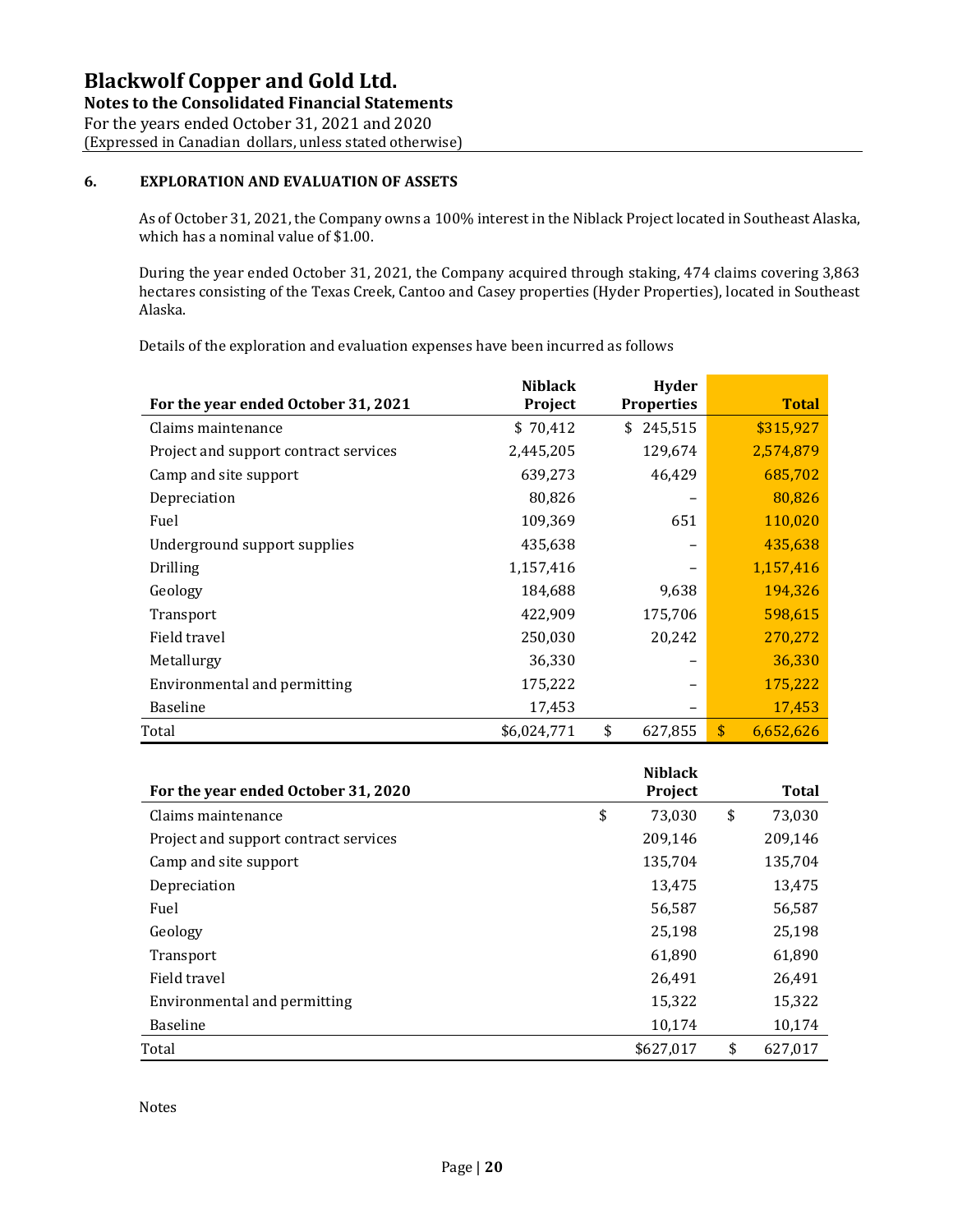**Notes to the Consolidated Financial Statements**

For the years ended October 31, 2021 and 2020 (Expressed in Canadian dollars, unless stated otherwise)

### **6. EXPLORATION AND EVALUATION OF ASSETS**

As of October 31, 2021, the Company owns a 100% interest in the Niblack Project located in Southeast Alaska, which has a nominal value of \$1.00.

During the year ended October 31, 2021, the Company acquired through staking, 474 claims covering 3,863 hectares consisting of the Texas Creek, Cantoo and Casey properties (Hyder Properties), located in Southeast Alaska.

Details of the exploration and evaluation expenses have been incurred as follows

|                                       | <b>Niblack</b> | Hyder             |                 |
|---------------------------------------|----------------|-------------------|-----------------|
| For the year ended October 31, 2021   | Project        | <b>Properties</b> | <b>Total</b>    |
| Claims maintenance                    | \$70,412       | 245,515<br>\$     | \$315,927       |
| Project and support contract services | 2,445,205      | 129,674           | 2,574,879       |
| Camp and site support                 | 639,273        | 46,429            | 685,702         |
| Depreciation                          | 80,826         |                   | 80,826          |
| Fuel                                  | 109,369        | 651               | 110,020         |
| Underground support supplies          | 435,638        | -                 | 435,638         |
| Drilling                              | 1,157,416      |                   | 1,157,416       |
| Geology                               | 184,688        | 9,638             | 194,326         |
| Transport                             | 422,909        | 175,706           | 598,615         |
| Field travel                          | 250,030        | 20,242            | 270,272         |
| Metallurgy                            | 36,330         | -                 | 36,330          |
| Environmental and permitting          | 175,222        |                   | 175,222         |
| <b>Baseline</b>                       | 17,453         | -                 | 17,453          |
| Total                                 | \$6,024,771    | \$<br>627,855     | \$<br>6,652,626 |

|                                       | <b>Niblack</b> |               |
|---------------------------------------|----------------|---------------|
| For the year ended October 31, 2020   | Project        | <b>Total</b>  |
| Claims maintenance                    | \$<br>73,030   | \$<br>73,030  |
| Project and support contract services | 209,146        | 209,146       |
| Camp and site support                 | 135,704        | 135,704       |
| Depreciation                          | 13,475         | 13,475        |
| Fuel                                  | 56,587         | 56,587        |
| Geology                               | 25,198         | 25,198        |
| Transport                             | 61,890         | 61,890        |
| Field travel                          | 26,491         | 26,491        |
| Environmental and permitting          | 15,322         | 15,322        |
| <b>Baseline</b>                       | 10,174         | 10,174        |
| Total                                 | \$627,017      | \$<br>627,017 |

Notes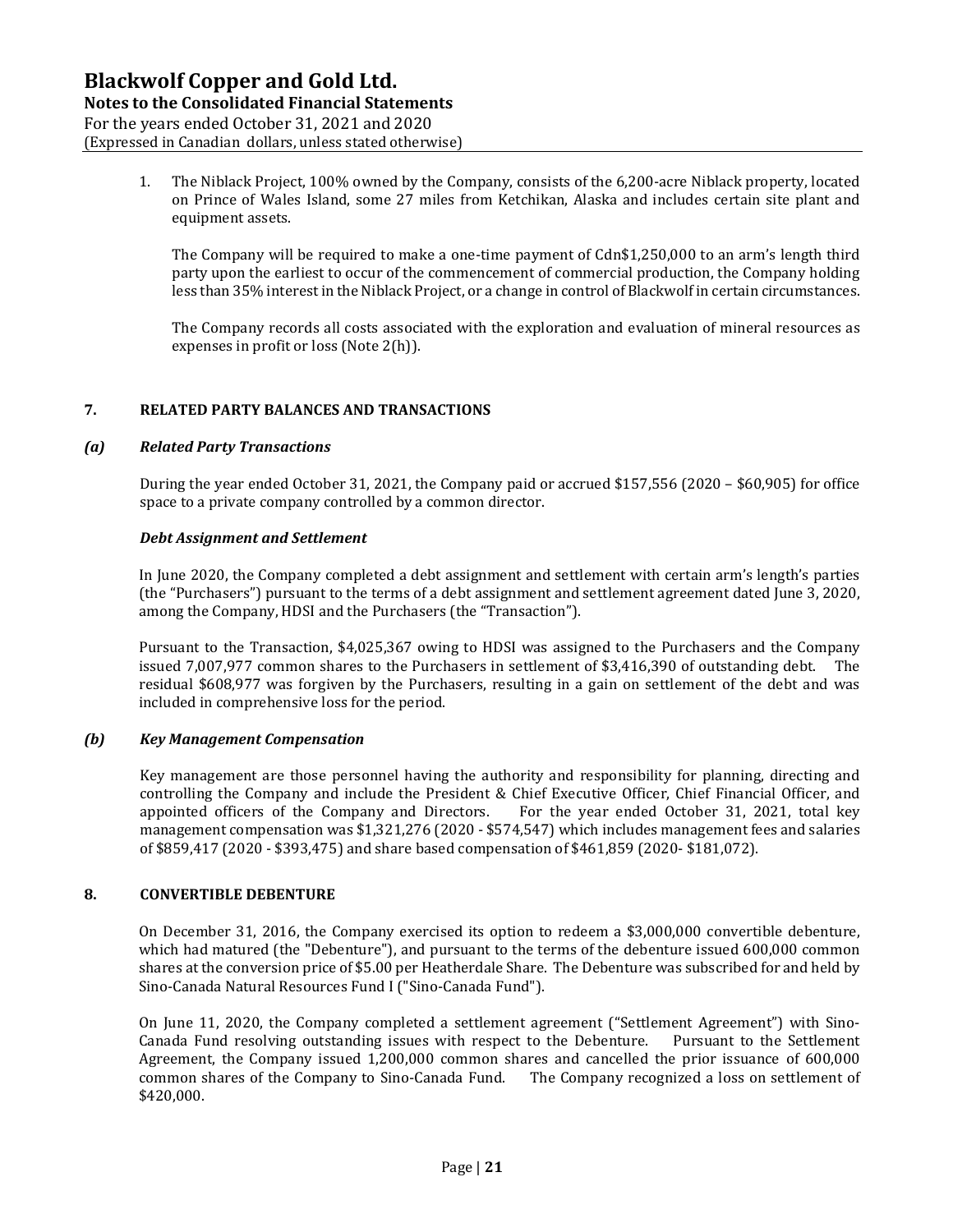**Notes to the Consolidated Financial Statements**

For the years ended October 31, 2021 and 2020 (Expressed in Canadian dollars, unless stated otherwise)

> 1. The Niblack Project, 100% owned by the Company, consists of the 6,200-acre Niblack property, located on Prince of Wales Island, some 27 miles from Ketchikan, Alaska and includes certain site plant and equipment assets.

The Company will be required to make a one-time payment of Cdn\$1,250,000 to an arm's length third party upon the earliest to occur of the commencement of commercial production, the Company holding less than 35% interest in the Niblack Project, or a change in control of Blackwolf in certain circumstances.

The Company records all costs associated with the exploration and evaluation of mineral resources as expenses in profit or loss (Note 2(h)).

### **7. RELATED PARTY BALANCES AND TRANSACTIONS**

### *(a) Related Party Transactions*

During the year ended October 31, 2021, the Company paid or accrued \$157,556 (2020 – \$60,905) for office space to a private company controlled by a common director.

### *Debt Assignment and Settlement*

In June 2020, the Company completed a debt assignment and settlement with certain arm's length's parties (the "Purchasers") pursuant to the terms of a debt assignment and settlement agreement dated June 3, 2020, among the Company, HDSI and the Purchasers (the "Transaction").

Pursuant to the Transaction, \$4,025,367 owing to HDSI was assigned to the Purchasers and the Company issued 7,007,977 common shares to the Purchasers in settlement of \$3,416,390 of outstanding debt. The residual \$608,977 was forgiven by the Purchasers, resulting in a gain on settlement of the debt and was included in comprehensive loss for the period.

### *(b) Key Management Compensation*

Key management are those personnel having the authority and responsibility for planning, directing and controlling the Company and include the President & Chief Executive Officer, Chief Financial Officer, and appointed officers of the Company and Directors. For the year ended October 31, 2021, total key appointed officers of the Company and Directors. management compensation was \$1,321,276 (2020 - \$574,547) which includes management fees and salaries of \$859,417 (2020 - \$393,475) and share based compensation of \$461,859 (2020- \$181,072).

### **8. CONVERTIBLE DEBENTURE**

On December 31, 2016, the Company exercised its option to redeem a \$3,000,000 convertible debenture, which had matured (the "Debenture"), and pursuant to the terms of the debenture issued 600,000 common shares at the conversion price of \$5.00 per Heatherdale Share. The Debenture was subscribed for and held by Sino-Canada Natural Resources Fund I ("Sino-Canada Fund").

On June 11, 2020, the Company completed a settlement agreement ("Settlement Agreement") with Sino-<br>Canada Fund resolving outstanding issues with respect to the Debenture. Pursuant to the Settlement Canada Fund resolving outstanding issues with respect to the Debenture. Agreement, the Company issued 1,200,000 common shares and cancelled the prior issuance of 600,000 common shares of the Company to Sino-Canada Fund. The Company recognized a loss on settlement of \$420,000.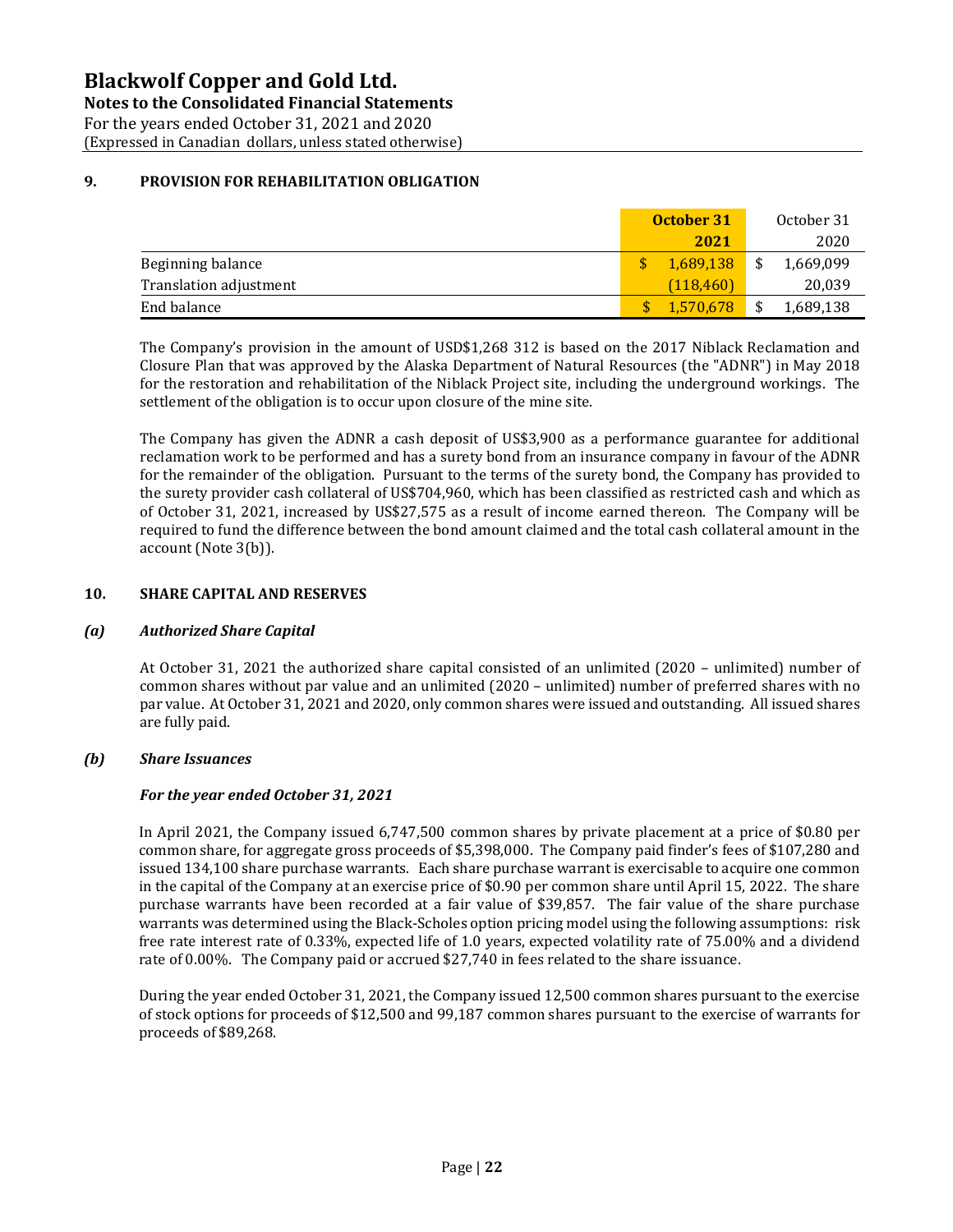**Notes to the Consolidated Financial Statements**

For the years ended October 31, 2021 and 2020 (Expressed in Canadian dollars, unless stated otherwise)

### **9. PROVISION FOR REHABILITATION OBLIGATION**

|                        | October 31 |            | October 31 |
|------------------------|------------|------------|------------|
|                        |            | 2021       | 2020       |
| Beginning balance      |            | 1,689,138  | 1,669,099  |
| Translation adjustment |            | (118, 460) | 20,039     |
| End balance            |            | 1.570.678  | 1,689,138  |

The Company's provision in the amount of USD\$1,268 312 is based on the 2017 Niblack Reclamation and Closure Plan that was approved by the Alaska Department of Natural Resources (the "ADNR") in May 2018 for the restoration and rehabilitation of the Niblack Project site, including the underground workings. The settlement of the obligation is to occur upon closure of the mine site.

The Company has given the ADNR a cash deposit of US\$3,900 as a performance guarantee for additional reclamation work to be performed and has a surety bond from an insurance company in favour of the ADNR for the remainder of the obligation. Pursuant to the terms of the surety bond, the Company has provided to the surety provider cash collateral of US\$704,960, which has been classified as restricted cash and which as of October 31, 2021, increased by US\$27,575 as a result of income earned thereon. The Company will be required to fund the difference between the bond amount claimed and the total cash collateral amount in the account (Note 3(b)).

### **10. SHARE CAPITAL AND RESERVES**

### *(a) Authorized Share Capital*

At October 31, 2021 the authorized share capital consisted of an unlimited (2020 – unlimited) number of common shares without par value and an unlimited (2020 – unlimited) number of preferred shares with no par value. At October 31, 2021 and 2020, only common shares were issued and outstanding. All issued shares are fully paid.

### *(b) Share Issuances*

### *For the year ended October 31, 2021*

In April 2021, the Company issued 6,747,500 common shares by private placement at a price of \$0.80 per common share, for aggregate gross proceeds of \$5,398,000. The Company paid finder's fees of \$107,280 and issued 134,100 share purchase warrants. Each share purchase warrant is exercisable to acquire one common in the capital of the Company at an exercise price of \$0.90 per common share until April 15, 2022. The share purchase warrants have been recorded at a fair value of \$39,857. The fair value of the share purchase warrants was determined using the Black-Scholes option pricing model using the following assumptions: risk free rate interest rate of 0.33%, expected life of 1.0 years, expected volatility rate of 75.00% and a dividend rate of 0.00%. The Company paid or accrued \$27,740 in fees related to the share issuance.

During the year ended October 31, 2021, the Company issued 12,500 common shares pursuant to the exercise of stock options for proceeds of \$12,500 and 99,187 common shares pursuant to the exercise of warrants for proceeds of \$89,268.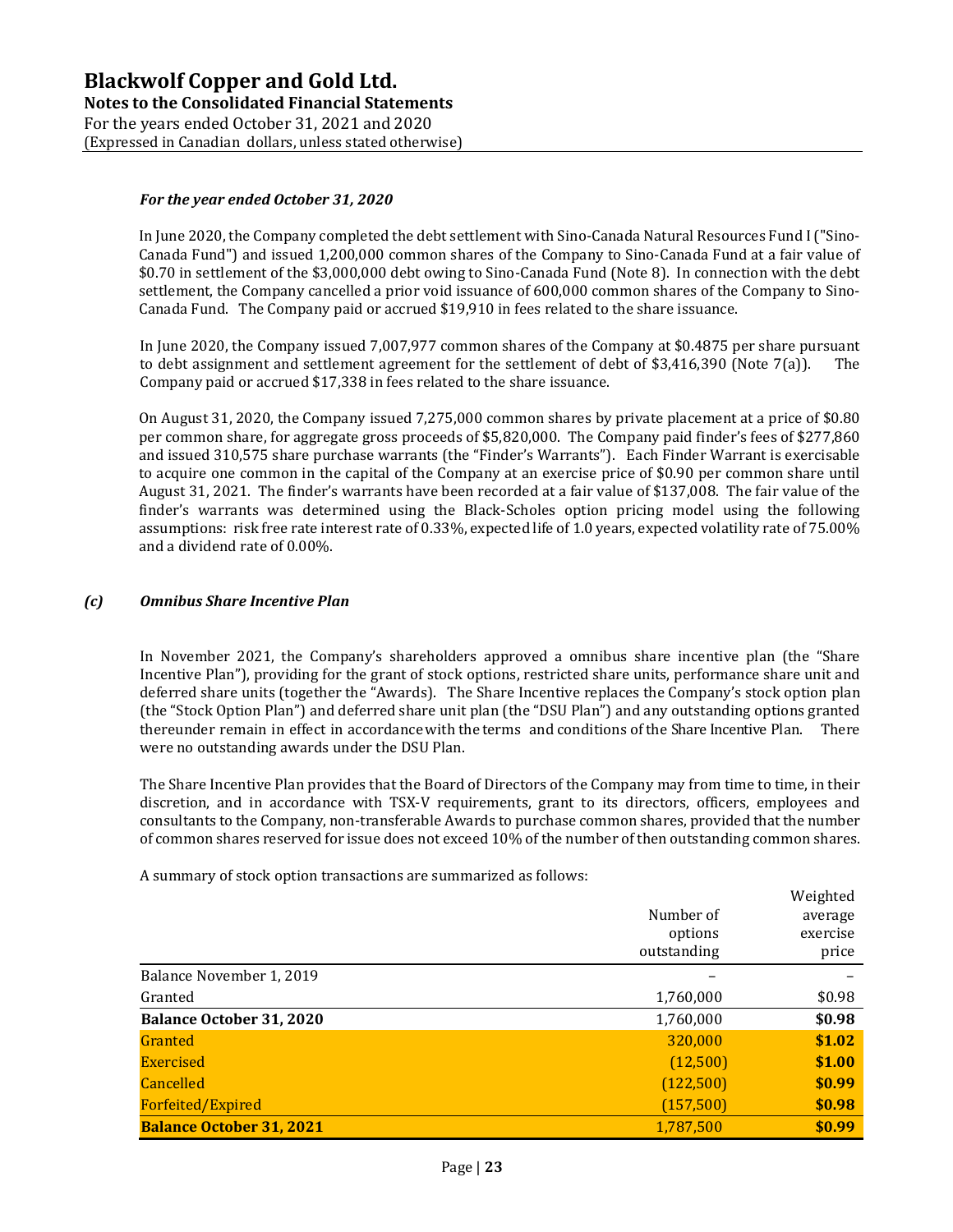(Expressed in Canadian dollars, unless stated otherwise)

### *For the year ended October 31, 2020*

In June 2020, the Company completed the debt settlement with Sino-Canada Natural Resources Fund I ("Sino-Canada Fund") and issued 1,200,000 common shares of the Company to Sino-Canada Fund at a fair value of \$0.70 in settlement of the \$3,000,000 debt owing to Sino-Canada Fund (Note 8). In connection with the debt settlement, the Company cancelled a prior void issuance of 600,000 common shares of the Company to Sino-Canada Fund. The Company paid or accrued \$19,910 in fees related to the share issuance.

In June 2020, the Company issued 7,007,977 common shares of the Company at \$0.4875 per share pursuant to debt assignment and settlement agreement for the settlement of debt of \$3,416,390 (Note 7(a)). The to debt assignment and settlement agreement for the settlement of debt of \$3,416,390 (Note 7(a)). Company paid or accrued \$17,338 in fees related to the share issuance.

On August 31, 2020, the Company issued 7,275,000 common shares by private placement at a price of \$0.80 per common share, for aggregate gross proceeds of \$5,820,000. The Company paid finder's fees of \$277,860 and issued 310,575 share purchase warrants (the "Finder's Warrants"). Each Finder Warrant is exercisable to acquire one common in the capital of the Company at an exercise price of \$0.90 per common share until August 31, 2021. The finder's warrants have been recorded at a fair value of \$137,008. The fair value of the finder's warrants was determined using the Black-Scholes option pricing model using the following assumptions: risk free rate interest rate of 0.33%, expected life of 1.0 years, expected volatility rate of 75.00% and a dividend rate of 0.00%.

### *(c) Omnibus Share Incentive Plan*

In November 2021, the Company's shareholders approved a omnibus share incentive plan (the "Share Incentive Plan"), providing for the grant of stock options, restricted share units, performance share unit and deferred share units (together the "Awards). The Share Incentive replaces the Company's stock option plan (the "Stock Option Plan") and deferred share unit plan (the "DSU Plan") and any outstanding options granted thereunder remain in effect in accordancewith the terms and conditions of the Share Incentive Plan. There were no outstanding awards under the DSU Plan.

The Share Incentive Plan provides that the Board of Directors of the Company may from time to time, in their discretion, and in accordance with TSX-V requirements, grant to its directors, officers, employees and consultants to the Company, non-transferable Awards to purchase common shares, provided that the number of common shares reserved for issue does not exceed 10% of the number of then outstanding common shares.

A summary of stock option transactions are summarized as follows:

|                                 | Number of<br>options<br>outstanding | Weighted<br>average<br>exercise |
|---------------------------------|-------------------------------------|---------------------------------|
| Balance November 1, 2019        |                                     | price                           |
| Granted                         | 1,760,000                           | \$0.98                          |
| <b>Balance October 31, 2020</b> | 1,760,000                           | \$0.98                          |
| Granted                         | 320,000                             | \$1.02                          |
| Exercised                       | (12,500)                            | \$1.00                          |
| <b>Cancelled</b>                | (122,500)                           | \$0.99                          |
| <b>Forfeited/Expired</b>        | (157,500)                           | \$0.98                          |
| <b>Balance October 31, 2021</b> | 1,787,500                           | \$0.99                          |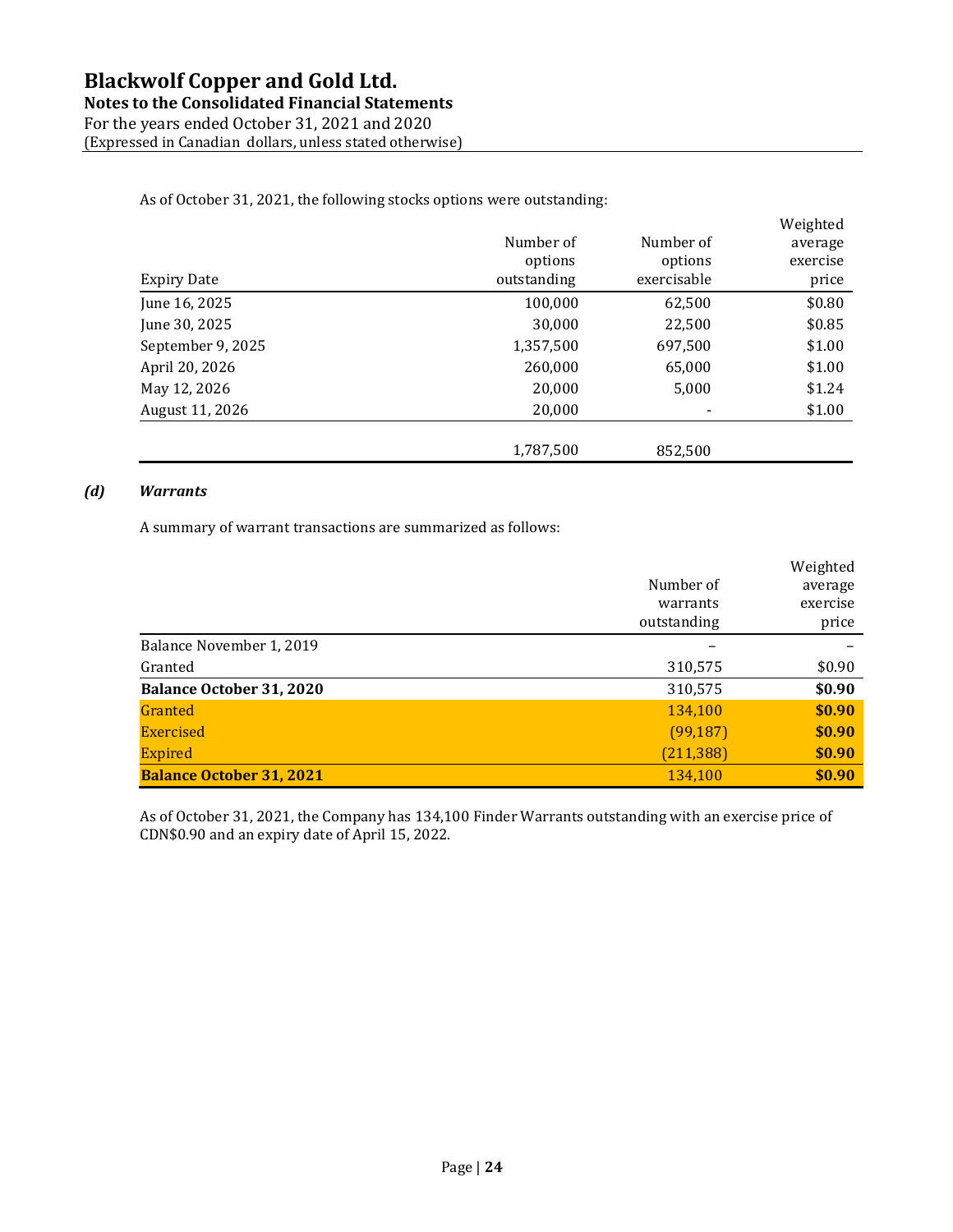**Notes to the Consolidated Financial Statements**

For the years ended October 31, 2021 and 2020 (Expressed in Canadian dollars, unless stated otherwise)

### As of October 31, 2021, the following stocks options were outstanding:

| <b>Expiry Date</b> | Number of<br>options<br>outstanding | Number of<br>options<br>exercisable | Weighted<br>average<br>exercise<br>price |
|--------------------|-------------------------------------|-------------------------------------|------------------------------------------|
| June 16, 2025      | 100,000                             | 62,500                              | \$0.80                                   |
| June 30, 2025      | 30,000                              | 22,500                              | \$0.85                                   |
| September 9, 2025  | 1,357,500                           | 697,500                             | \$1.00                                   |
| April 20, 2026     | 260,000                             | 65,000                              | \$1.00                                   |
| May 12, 2026       | 20,000                              | 5,000                               | \$1.24                                   |
| August 11, 2026    | 20,000                              |                                     | \$1.00                                   |
|                    | 1,787,500                           | 852,500                             |                                          |

### *(d) Warrants*

A summary of warrant transactions are summarized as follows:

|                                 | Number of<br>warrants<br>outstanding | Weighted<br>average<br>exercise<br>price |
|---------------------------------|--------------------------------------|------------------------------------------|
| Balance November 1, 2019        |                                      |                                          |
| Granted                         | 310,575                              | \$0.90                                   |
| <b>Balance October 31, 2020</b> | 310,575                              | \$0.90                                   |
| Granted                         | 134,100                              | \$0.90                                   |
| Exercised                       | (99, 187)                            | \$0.90                                   |
| <b>Expired</b>                  | (211, 388)                           | \$0.90                                   |
| <b>Balance October 31, 2021</b> | 134,100                              | \$0.90                                   |

As of October 31, 2021, the Company has 134,100 Finder Warrants outstanding with an exercise price of CDN\$0.90 and an expiry date of April 15, 2022.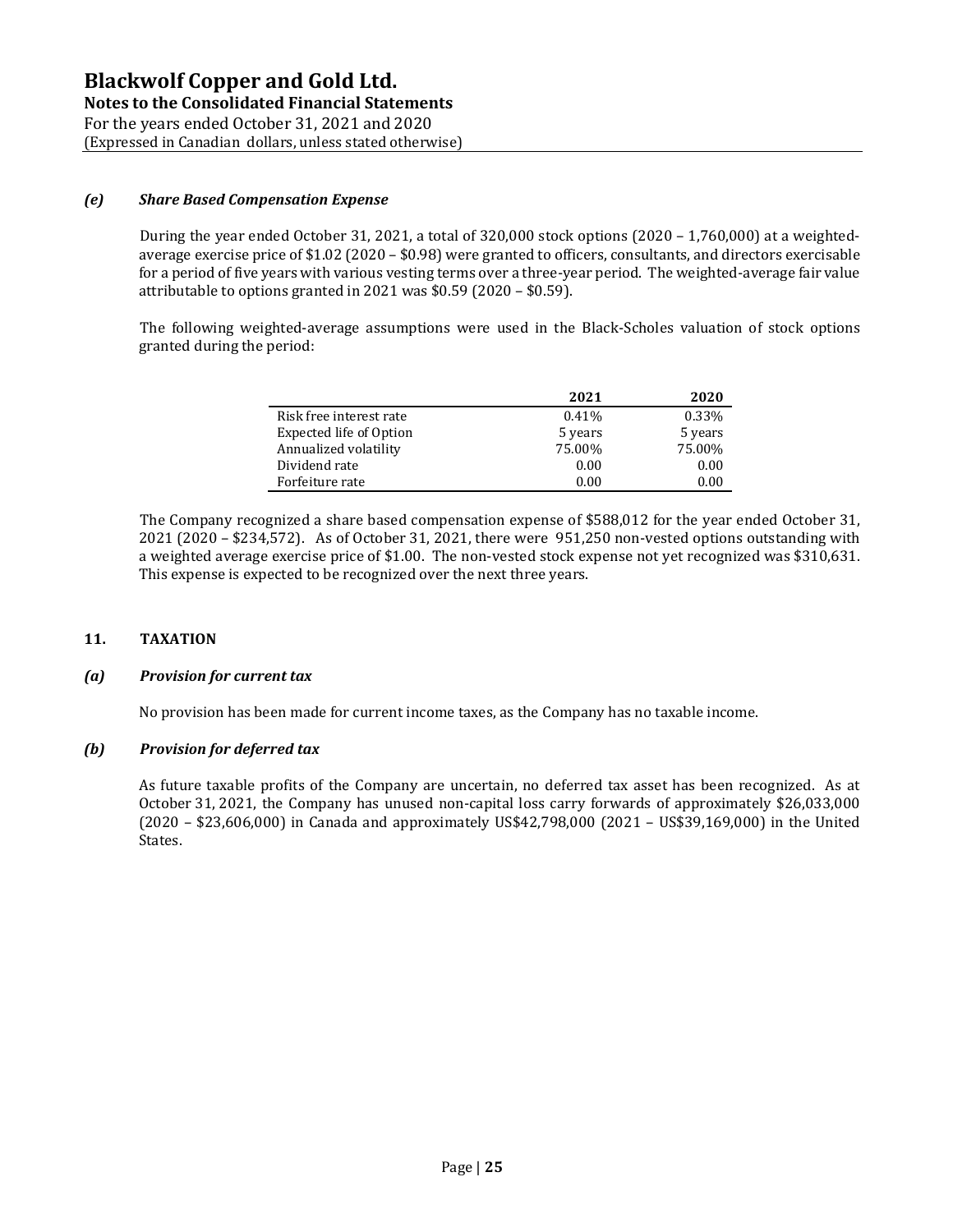For the years ended October 31, 2021 and 2020 (Expressed in Canadian dollars, unless stated otherwise)

### *(e) Share Based Compensation Expense*

During the year ended October 31, 2021, a total of 320,000 stock options (2020 – 1,760,000) at a weightedaverage exercise price of \$1.02 (2020 – \$0.98) were granted to officers, consultants, and directors exercisable for a period of five years with various vesting terms over a three-year period. The weighted-average fair value attributable to options granted in 2021 was \$0.59 (2020 – \$0.59).

The following weighted-average assumptions were used in the Black-Scholes valuation of stock options granted during the period:

|                         | 2021    | 2020    |
|-------------------------|---------|---------|
| Risk free interest rate | 0.41%   | 0.33%   |
| Expected life of Option | 5 years | 5 years |
| Annualized volatility   | 75.00%  | 75.00%  |
| Dividend rate           | 0.00    | 0.00    |
| Forfeiture rate         | 0.00    | 0.00    |

The Company recognized a share based compensation expense of \$588,012 for the year ended October 31, 2021 (2020 – \$234,572). As of October 31, 2021, there were 951,250 non-vested options outstanding with a weighted average exercise price of \$1.00. The non-vested stock expense not yet recognized was \$310,631. This expense is expected to be recognized over the next three years.

### **11. TAXATION**

### *(a) Provision for current tax*

No provision has been made for current income taxes, as the Company has no taxable income.

### *(b) Provision for deferred tax*

As future taxable profits of the Company are uncertain, no deferred tax asset has been recognized. As at October 31, 2021, the Company has unused non-capital loss carry forwards of approximately \$26,033,000 (2020 – \$23,606,000) in Canada and approximately US\$42,798,000 (2021 – US\$39,169,000) in the United States.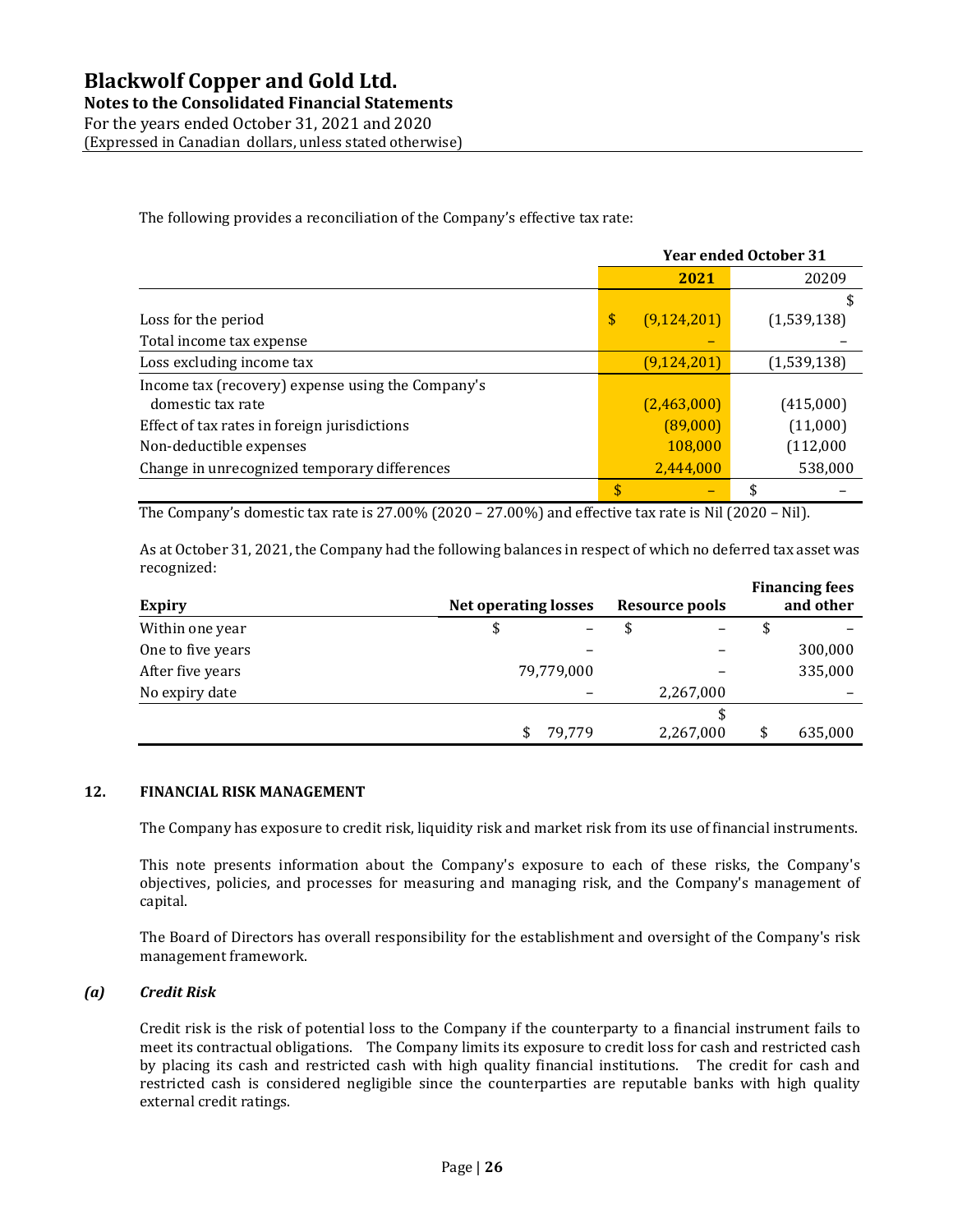**Notes to the Consolidated Financial Statements**

For the years ended October 31, 2021 and 2020 (Expressed in Canadian dollars, unless stated otherwise)

The following provides a reconciliation of the Company's effective tax rate:

|                                                   | <b>Year ended October 31</b> |               |  |             |
|---------------------------------------------------|------------------------------|---------------|--|-------------|
|                                                   | 2021                         |               |  | 20209       |
|                                                   |                              |               |  |             |
| Loss for the period                               | \$                           | (9, 124, 201) |  | (1,539,138) |
| Total income tax expense                          |                              |               |  |             |
| Loss excluding income tax                         |                              | (9, 124, 201) |  | (1,539,138) |
| Income tax (recovery) expense using the Company's |                              |               |  |             |
| domestic tax rate                                 |                              | (2,463,000)   |  | (415,000)   |
| Effect of tax rates in foreign jurisdictions      |                              | (89,000)      |  | (11,000)    |
| Non-deductible expenses                           |                              | 108,000       |  | (112,000)   |
| Change in unrecognized temporary differences      |                              | 2,444,000     |  | 538,000     |
|                                                   | \$                           | -             |  |             |

The Company's domestic tax rate is 27.00% (2020 – 27.00%) and effective tax rate is Nil (2020 – Nil).

As at October 31, 2021, the Company had the following balances in respect of which no deferred tax asset was recognized:

| <b>Expiry</b>     | Net operating losses | Resource pools | <b>Financing fees</b><br>and other |
|-------------------|----------------------|----------------|------------------------------------|
| Within one year   |                      |                |                                    |
| One to five years |                      |                | 300,000                            |
| After five years  | 79,779,000           |                | 335,000                            |
| No expiry date    |                      | 2,267,000      |                                    |
|                   |                      | \$             |                                    |
|                   | 79.779               | 2,267,000      | 635,000                            |

### **12. FINANCIAL RISK MANAGEMENT**

The Company has exposure to credit risk, liquidity risk and market risk from its use of financial instruments.

This note presents information about the Company's exposure to each of these risks, the Company's objectives, policies, and processes for measuring and managing risk, and the Company's management of capital.

The Board of Directors has overall responsibility for the establishment and oversight of the Company's risk management framework.

### *(a) Credit Risk*

Credit risk is the risk of potential loss to the Company if the counterparty to a financial instrument fails to meet its contractual obligations. The Company limits its exposure to credit loss for cash and restricted cash by placing its cash and restricted cash with high quality financial institutions. The credit for cash and restricted cash is considered negligible since the counterparties are reputable banks with high quality external credit ratings.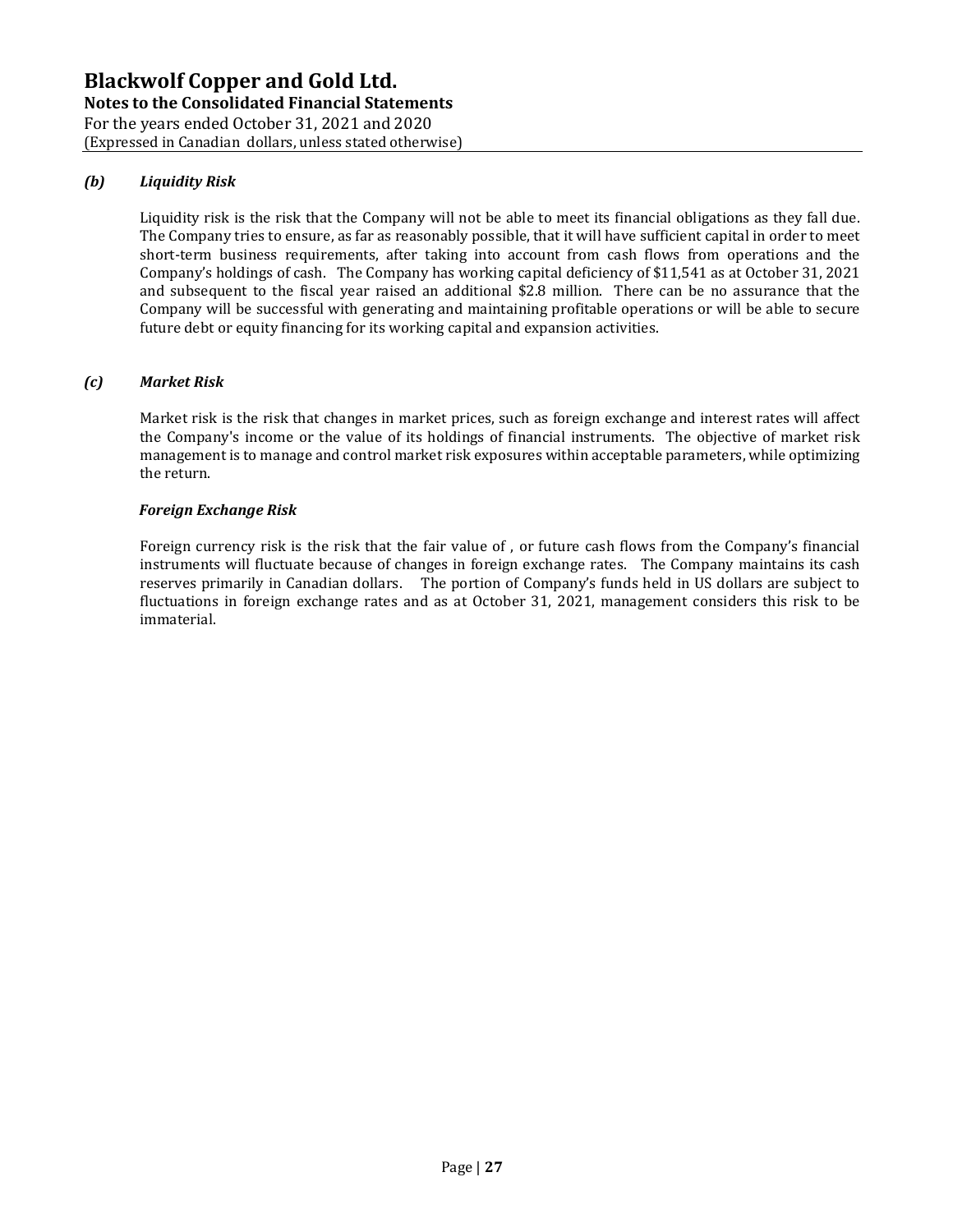**Notes to the Consolidated Financial Statements**

For the years ended October 31, 2021 and 2020 (Expressed in Canadian dollars, unless stated otherwise)

### *(b) Liquidity Risk*

Liquidity risk is the risk that the Company will not be able to meet its financial obligations as they fall due. The Company tries to ensure, as far as reasonably possible, that it will have sufficient capital in order to meet short-term business requirements, after taking into account from cash flows from operations and the Company's holdings of cash. The Company has working capital deficiency of \$11,541 as at October 31, 2021 and subsequent to the fiscal year raised an additional \$2.8 million. There can be no assurance that the Company will be successful with generating and maintaining profitable operations or will be able to secure future debt or equity financing for its working capital and expansion activities.

### *(c) Market Risk*

Market risk is the risk that changes in market prices, such as foreign exchange and interest rates will affect the Company's income or the value of its holdings of financial instruments. The objective of market risk management is to manage and control market risk exposures within acceptable parameters, while optimizing the return.

### *Foreign Exchange Risk*

Foreign currency risk is the risk that the fair value of , or future cash flows from the Company's financial instruments will fluctuate because of changes in foreign exchange rates. The Company maintains its cash reserves primarily in Canadian dollars. The portion of Company's funds held in US dollars are subject to fluctuations in foreign exchange rates and as at October 31, 2021, management considers this risk to be immaterial.